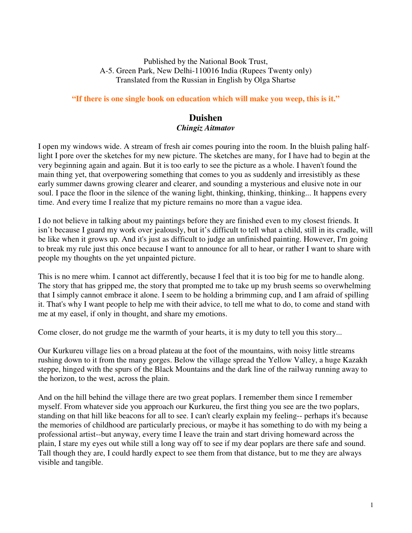Published by the National Book Trust, A-5. Green Park, New Delhi-110016 India (Rupees Twenty only) Translated from the Russian in English by Olga Shartse

## **"If there is one single book on education which will make you weep, this is it."**

## **Duishen**  *Chingiz Aitmatov*

I open my windows wide. A stream of fresh air comes pouring into the room. In the bluish paling halflight I pore over the sketches for my new picture. The sketches are many, for I have had to begin at the very beginning again and again. But it is too early to see the picture as a whole. I haven't found the main thing yet, that overpowering something that comes to you as suddenly and irresistibly as these early summer dawns growing clearer and clearer, and sounding a mysterious and elusive note in our soul. I pace the floor in the silence of the waning light, thinking, thinking, thinking... It happens every time. And every time I realize that my picture remains no more than a vague idea.

I do not believe in talking about my paintings before they are finished even to my closest friends. It isn't because I guard my work over jealously, but it's difficult to tell what a child, still in its cradle, will be like when it grows up. And it's just as difficult to judge an unfinished painting. However, I'm going to break my rule just this once because I want to announce for all to hear, or rather I want to share with people my thoughts on the yet unpainted picture.

This is no mere whim. I cannot act differently, because I feel that it is too big for me to handle along. The story that has gripped me, the story that prompted me to take up my brush seems so overwhelming that I simply cannot embrace it alone. I seem to be holding a brimming cup, and I am afraid of spilling it. That's why I want people to help me with their advice, to tell me what to do, to come and stand with me at my easel, if only in thought, and share my emotions.

Come closer, do not grudge me the warmth of your hearts, it is my duty to tell you this story...

Our Kurkureu village lies on a broad plateau at the foot of the mountains, with noisy little streams rushing down to it from the many gorges. Below the village spread the Yellow Valley, a huge Kazakh steppe, hinged with the spurs of the Black Mountains and the dark line of the railway running away to the horizon, to the west, across the plain.

And on the hill behind the village there are two great poplars. I remember them since I remember myself. From whatever side you approach our Kurkureu, the first thing you see are the two poplars, standing on that hill like beacons for all to see. I can't clearly explain my feeling-- perhaps it's because the memories of childhood are particularly precious, or maybe it has something to do with my being a professional artist--but anyway, every time I leave the train and start driving homeward across the plain, I stare my eyes out while still a long way off to see if my dear poplars are there safe and sound. Tall though they are, I could hardly expect to see them from that distance, but to me they are always visible and tangible.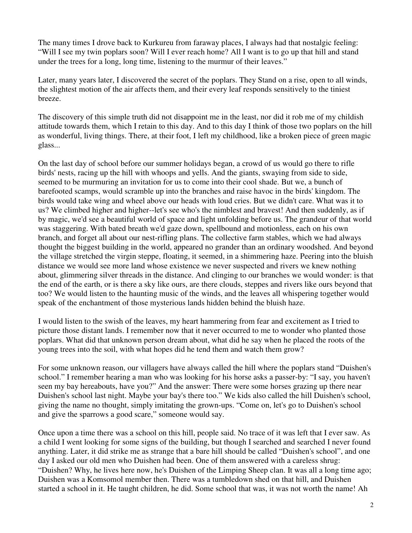The many times I drove back to Kurkureu from faraway places, I always had that nostalgic feeling: "Will I see my twin poplars soon? Will I ever reach home? All I want is to go up that hill and stand under the trees for a long, long time, listening to the murmur of their leaves."

Later, many years later, I discovered the secret of the poplars. They Stand on a rise, open to all winds, the slightest motion of the air affects them, and their every leaf responds sensitively to the tiniest breeze.

The discovery of this simple truth did not disappoint me in the least, nor did it rob me of my childish attitude towards them, which I retain to this day. And to this day I think of those two poplars on the hill as wonderful, living things. There, at their foot, I left my childhood, like a broken piece of green magic glass...

On the last day of school before our summer holidays began, a crowd of us would go there to rifle birds' nests, racing up the hill with whoops and yells. And the giants, swaying from side to side, seemed to be murmuring an invitation for us to come into their cool shade. But we, a bunch of barefooted scamps, would scramble up into the branches and raise havoc in the birds' kingdom. The birds would take wing and wheel above our heads with loud cries. But we didn't care. What was it to us? We climbed higher and higher--let's see who's the nimblest and bravest! And then suddenly, as if by magic, we'd see a beautiful world of space and light unfolding before us. The grandeur of that world was staggering. With bated breath we'd gaze down, spellbound and motionless, each on his own branch, and forget all about our nest-rifling plans. The collective farm stables, which we had always thought the biggest building in the world, appeared no grander than an ordinary woodshed. And beyond the village stretched the virgin steppe, floating, it seemed, in a shimmering haze. Peering into the bluish distance we would see more land whose existence we never suspected and rivers we knew nothing about, glimmering silver threads in the distance. And clinging to our branches we would wonder: is that the end of the earth, or is there a sky like ours, are there clouds, steppes and rivers like ours beyond that too? We would listen to the haunting music of the winds, and the leaves all whispering together would speak of the enchantment of those mysterious lands hidden behind the bluish haze.

I would listen to the swish of the leaves, my heart hammering from fear and excitement as I tried to picture those distant lands. I remember now that it never occurred to me to wonder who planted those poplars. What did that unknown person dream about, what did he say when he placed the roots of the young trees into the soil, with what hopes did he tend them and watch them grow?

For some unknown reason, our villagers have always called the hill where the poplars stand "Duishen's school." I remember hearing a man who was looking for his horse asks a passer-by: "I say, you haven't seen my bay hereabouts, have you?" And the answer: There were some horses grazing up there near Duishen's school last night. Maybe your bay's there too." We kids also called the hill Duishen's school, giving the name no thought, simply imitating the grown-ups. "Come on, let's go to Duishen's school and give the sparrows a good scare," someone would say.

Once upon a time there was a school on this hill, people said. No trace of it was left that I ever saw. As a child I went looking for some signs of the building, but though I searched and searched I never found anything. Later, it did strike me as strange that a bare hill should be called "Duishen's school", and one day I asked our old men who Duishen had been. One of them answered with a careless shrug: "Duishen? Why, he lives here now, he's Duishen of the Limping Sheep clan. It was all a long time ago; Duishen was a Komsomol member then. There was a tumbledown shed on that hill, and Duishen started a school in it. He taught children, he did. Some school that was, it was not worth the name! Ah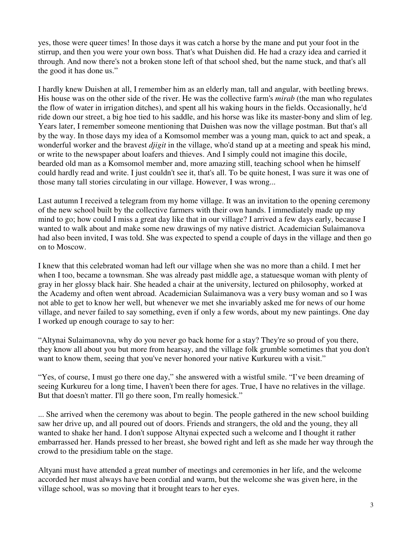yes, those were queer times! In those days it was catch a horse by the mane and put your foot in the stirrup, and then you were your own boss. That's what Duishen did. He had a crazy idea and carried it through. And now there's not a broken stone left of that school shed, but the name stuck, and that's all the good it has done us."

I hardly knew Duishen at all, I remember him as an elderly man, tall and angular, with beetling brews. His house was on the other side of the river. He was the collective farm's *mirab* (the man who regulates the flow of water in irrigation ditches), and spent all his waking hours in the fields. Occasionally, he'd ride down our street, a big hoe tied to his saddle, and his horse was like its master-bony and slim of leg. Years later, I remember someone mentioning that Duishen was now the village postman. But that's all by the way. In those days my idea of a Komsomol member was a young man, quick to act and speak, a wonderful worker and the bravest *djigit* in the village, who'd stand up at a meeting and speak his mind, or write to the newspaper about loafers and thieves. And I simply could not imagine this docile, bearded old man as a Komsomol member and, more amazing still, teaching school when he himself could hardly read and write. I just couldn't see it, that's all. To be quite honest, I was sure it was one of those many tall stories circulating in our village. However, I was wrong...

Last autumn I received a telegram from my home village. It was an invitation to the opening ceremony of the new school built by the collective farmers with their own hands. I immediately made up my mind to go; how could I miss a great day like that in our village? I arrived a few days early, because I wanted to walk about and make some new drawings of my native district. Academician Sulaimanova had also been invited, I was told. She was expected to spend a couple of days in the village and then go on to Moscow.

I knew that this celebrated woman had left our village when she was no more than a child. I met her when I too, became a townsman. She was already past middle age, a statuesque woman with plenty of gray in her glossy black hair. She headed a chair at the university, lectured on philosophy, worked at the Academy and often went abroad. Academician Sulaimanova was a very busy woman and so I was not able to get to know her well, but whenever we met she invariably asked me for news of our home village, and never failed to say something, even if only a few words, about my new paintings. One day I worked up enough courage to say to her:

"Altynai Sulaimanovna, why do you never go back home for a stay? They're so proud of you there, they know all about you but more from hearsay, and the village folk grumble sometimes that you don't want to know them, seeing that you've never honored your native Kurkureu with a visit."

"Yes, of course, I must go there one day," she answered with a wistful smile. "I've been dreaming of seeing Kurkureu for a long time, I haven't been there for ages. True, I have no relatives in the village. But that doesn't matter. I'll go there soon, I'm really homesick."

... She arrived when the ceremony was about to begin. The people gathered in the new school building saw her drive up, and all poured out of doors. Friends and strangers, the old and the young, they all wanted to shake her hand. I don't suppose Altynai expected such a welcome and I thought it rather embarrassed her. Hands pressed to her breast, she bowed right and left as she made her way through the crowd to the presidium table on the stage.

Altyani must have attended a great number of meetings and ceremonies in her life, and the welcome accorded her must always have been cordial and warm, but the welcome she was given here, in the village school, was so moving that it brought tears to her eyes.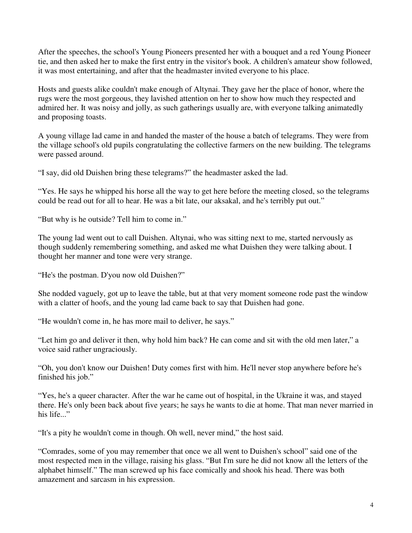After the speeches, the school's Young Pioneers presented her with a bouquet and a red Young Pioneer tie, and then asked her to make the first entry in the visitor's book. A children's amateur show followed, it was most entertaining, and after that the headmaster invited everyone to his place.

Hosts and guests alike couldn't make enough of Altynai. They gave her the place of honor, where the rugs were the most gorgeous, they lavished attention on her to show how much they respected and admired her. It was noisy and jolly, as such gatherings usually are, with everyone talking animatedly and proposing toasts.

A young village lad came in and handed the master of the house a batch of telegrams. They were from the village school's old pupils congratulating the collective farmers on the new building. The telegrams were passed around.

"I say, did old Duishen bring these telegrams?" the headmaster asked the lad.

"Yes. He says he whipped his horse all the way to get here before the meeting closed, so the telegrams could be read out for all to hear. He was a bit late, our aksakal, and he's terribly put out."

"But why is he outside? Tell him to come in."

The young lad went out to call Duishen. Altynai, who was sitting next to me, started nervously as though suddenly remembering something, and asked me what Duishen they were talking about. I thought her manner and tone were very strange.

"He's the postman. D'you now old Duishen?"

She nodded vaguely, got up to leave the table, but at that very moment someone rode past the window with a clatter of hoofs, and the young lad came back to say that Duishen had gone.

"He wouldn't come in, he has more mail to deliver, he says."

"Let him go and deliver it then, why hold him back? He can come and sit with the old men later," a voice said rather ungraciously.

"Oh, you don't know our Duishen! Duty comes first with him. He'll never stop anywhere before he's finished his job."

"Yes, he's a queer character. After the war he came out of hospital, in the Ukraine it was, and stayed there. He's only been back about five years; he says he wants to die at home. That man never married in his life..."

"It's a pity he wouldn't come in though. Oh well, never mind," the host said.

"Comrades, some of you may remember that once we all went to Duishen's school" said one of the most respected men in the village, raising his glass. "But I'm sure he did not know all the letters of the alphabet himself." The man screwed up his face comically and shook his head. There was both amazement and sarcasm in his expression.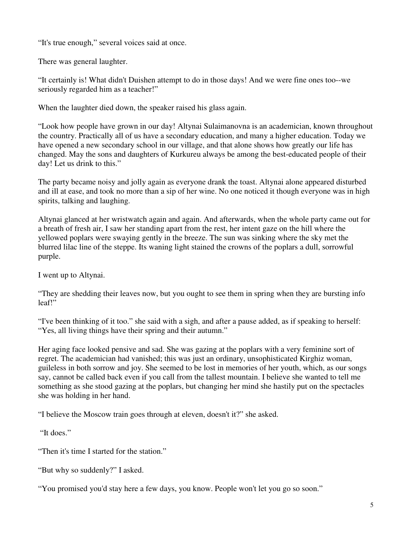"It's true enough," several voices said at once.

There was general laughter.

"It certainly is! What didn't Duishen attempt to do in those days! And we were fine ones too--we seriously regarded him as a teacher!"

When the laughter died down, the speaker raised his glass again.

"Look how people have grown in our day! Altynai Sulaimanovna is an academician, known throughout the country. Practically all of us have a secondary education, and many a higher education. Today we have opened a new secondary school in our village, and that alone shows how greatly our life has changed. May the sons and daughters of Kurkureu always be among the best-educated people of their day! Let us drink to this."

The party became noisy and jolly again as everyone drank the toast. Altynai alone appeared disturbed and ill at ease, and took no more than a sip of her wine. No one noticed it though everyone was in high spirits, talking and laughing.

Altynai glanced at her wristwatch again and again. And afterwards, when the whole party came out for a breath of fresh air, I saw her standing apart from the rest, her intent gaze on the hill where the yellowed poplars were swaying gently in the breeze. The sun was sinking where the sky met the blurred lilac line of the steppe. Its waning light stained the crowns of the poplars a dull, sorrowful purple.

I went up to Altynai.

"They are shedding their leaves now, but you ought to see them in spring when they are bursting info leaf!"

"I've been thinking of it too." she said with a sigh, and after a pause added, as if speaking to herself: "Yes, all living things have their spring and their autumn."

Her aging face looked pensive and sad. She was gazing at the poplars with a very feminine sort of regret. The academician had vanished; this was just an ordinary, unsophisticated Kirghiz woman, guileless in both sorrow and joy. She seemed to be lost in memories of her youth, which, as our songs say, cannot be called back even if you call from the tallest mountain. I believe she wanted to tell me something as she stood gazing at the poplars, but changing her mind she hastily put on the spectacles she was holding in her hand.

"I believe the Moscow train goes through at eleven, doesn't it?" she asked.

"It does."

"Then it's time I started for the station."

"But why so suddenly?" I asked.

"You promised you'd stay here a few days, you know. People won't let you go so soon."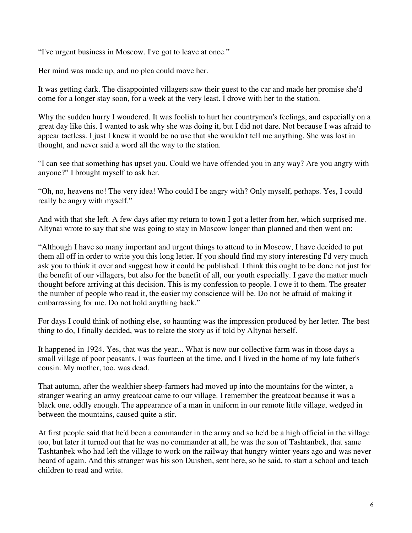"I've urgent business in Moscow. I've got to leave at once."

Her mind was made up, and no plea could move her.

It was getting dark. The disappointed villagers saw their guest to the car and made her promise she'd come for a longer stay soon, for a week at the very least. I drove with her to the station.

Why the sudden hurry I wondered. It was foolish to hurt her countrymen's feelings, and especially on a great day like this. I wanted to ask why she was doing it, but I did not dare. Not because I was afraid to appear tactless. I just I knew it would be no use that she wouldn't tell me anything. She was lost in thought, and never said a word all the way to the station.

"I can see that something has upset you. Could we have offended you in any way? Are you angry with anyone?" I brought myself to ask her.

"Oh, no, heavens no! The very idea! Who could I be angry with? Only myself, perhaps. Yes, I could really be angry with myself."

And with that she left. A few days after my return to town I got a letter from her, which surprised me. Altynai wrote to say that she was going to stay in Moscow longer than planned and then went on:

"Although I have so many important and urgent things to attend to in Moscow, I have decided to put them all off in order to write you this long letter. If you should find my story interesting I'd very much ask you to think it over and suggest how it could be published. I think this ought to be done not just for the benefit of our villagers, but also for the benefit of all, our youth especially. I gave the matter much thought before arriving at this decision. This is my confession to people. I owe it to them. The greater the number of people who read it, the easier my conscience will be. Do not be afraid of making it embarrassing for me. Do not hold anything back."

For days I could think of nothing else, so haunting was the impression produced by her letter. The best thing to do, I finally decided, was to relate the story as if told by Altynai herself.

It happened in 1924. Yes, that was the year... What is now our collective farm was in those days a small village of poor peasants. I was fourteen at the time, and I lived in the home of my late father's cousin. My mother, too, was dead.

That autumn, after the wealthier sheep-farmers had moved up into the mountains for the winter, a stranger wearing an army greatcoat came to our village. I remember the greatcoat because it was a black one, oddly enough. The appearance of a man in uniform in our remote little village, wedged in between the mountains, caused quite a stir.

At first people said that he'd been a commander in the army and so he'd be a high official in the village too, but later it turned out that he was no commander at all, he was the son of Tashtanbek, that same Tashtanbek who had left the village to work on the railway that hungry winter years ago and was never heard of again. And this stranger was his son Duishen, sent here, so he said, to start a school and teach children to read and write.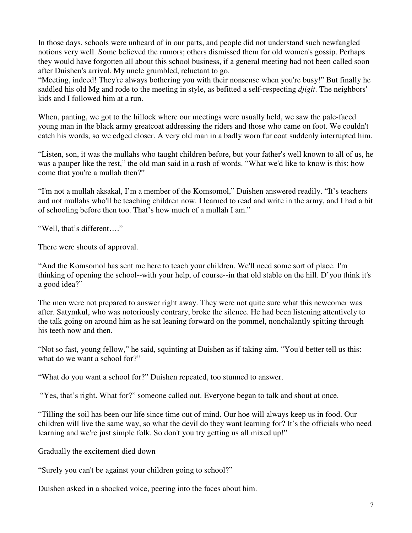In those days, schools were unheard of in our parts, and people did not understand such newfangled notions very well. Some believed the rumors; others dismissed them for old women's gossip. Perhaps they would have forgotten all about this school business, if a general meeting had not been called soon after Duishen's arrival. My uncle grumbled, reluctant to go.

"Meeting, indeed! They're always bothering you with their nonsense when you're busy!" But finally he saddled his old Mg and rode to the meeting in style, as befitted a self-respecting *djigit*. The neighbors' kids and I followed him at a run.

When, panting, we got to the hillock where our meetings were usually held, we saw the pale-faced young man in the black army greatcoat addressing the riders and those who came on foot. We couldn't catch his words, so we edged closer. A very old man in a badly worn fur coat suddenly interrupted him.

"Listen, son, it was the mullahs who taught children before, but your father's well known to all of us, he was a pauper like the rest," the old man said in a rush of words. "What we'd like to know is this: how come that you're a mullah then?"

"I'm not a mullah aksakal, I'm a member of the Komsomol," Duishen answered readily. "It's teachers and not mullahs who'll be teaching children now. I learned to read and write in the army, and I had a bit of schooling before then too. That's how much of a mullah I am."

"Well, that's different…."

There were shouts of approval.

"And the Komsomol has sent me here to teach your children. We'll need some sort of place. I'm thinking of opening the school--with your help, of course--in that old stable on the hill. D'you think it's a good idea?"

The men were not prepared to answer right away. They were not quite sure what this newcomer was after. Satymkul, who was notoriously contrary, broke the silence. He had been listening attentively to the talk going on around him as he sat leaning forward on the pommel, nonchalantly spitting through his teeth now and then.

"Not so fast, young fellow," he said, squinting at Duishen as if taking aim. "You'd better tell us this: what do we want a school for?"

"What do you want a school for?" Duishen repeated, too stunned to answer.

"Yes, that's right. What for?" someone called out. Everyone began to talk and shout at once.

"Tilling the soil has been our life since time out of mind. Our hoe will always keep us in food. Our children will live the same way, so what the devil do they want learning for? It's the officials who need learning and we're just simple folk. So don't you try getting us all mixed up!"

Gradually the excitement died down

"Surely you can't be against your children going to school?"

Duishen asked in a shocked voice, peering into the faces about him.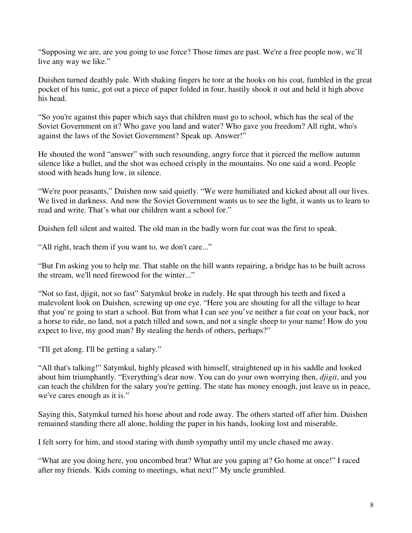"Supposing we are, are you going to use force? Those times are past. We're a free people now, we'll live any way we like."

Duishen turned deathly pale. With shaking fingers he tore at the hooks on his coat, fumbled in the great pocket of his tunic, got out a piece of paper folded in four, hastily shook it out and held it high above his head.

"So you're against this paper which says that children must go to school, which has the seal of the Soviet Government on it? Who gave you land and water? Who gave you freedom? All right, who's against the laws of the Soviet Government? Speak up. Answer!"

He shouted the word "answer" with such resounding, angry force that it pierced the mellow autumn silence like a bullet, and the shot was echoed crisply in the mountains. No one said a word. People stood with heads hung low, in silence.

"We're poor peasants," Duishen now said quietly. "We were humiliated and kicked about all our lives. We lived in darkness. And now the Soviet Government wants us to see the light, it wants us to learn to read and write. That's what our children want a school for."

Duishen fell silent and waited. The old man in the badly worn fur coat was the first to speak.

"All right, teach them if you want to, we don't care..."

"But I'm asking you to help me. That stable on the hill wants repairing, a bridge has to be built across the stream, we'll need firewood for the winter..."

"Not so fast, djigit, not so fast" Satymkul broke in rudely. He spat through his teeth and fixed a malevolent look on Duishen, screwing up one eye. "Here you are shouting for all the village to hear that you' re going to start a school. But from what I can see you've neither a fur coat on your back, nor a horse to ride, no land, not a patch tilled and sown, and not a single sheep to your name! How do you expect to live, my good man? By stealing the herds of others, perhaps?"

"I'll get along. I'll be getting a salary."

"All that's talking!" Satymkul, highly pleased with himself, straightened up in his saddle and looked about him triumphantly. "Everything's dear now. You can do your own worrying then, *djigit*, and you can teach the children for the salary you're getting. The state has money enough, just leave us in peace, we've cares enough as it is."

Saying this, Satymkul turned his horse about and rode away. The others started off after him. Duishen remained standing there all alone, holding the paper in his hands, looking lost and miserable.

I felt sorry for him, and stood staring with dumb sympathy until my uncle chased me away.

"What are you doing here, you uncombed brat? What are you gaping at? Go home at once!" I raced after my friends. 'Kids coming to meetings, what next!" My uncle grumbled.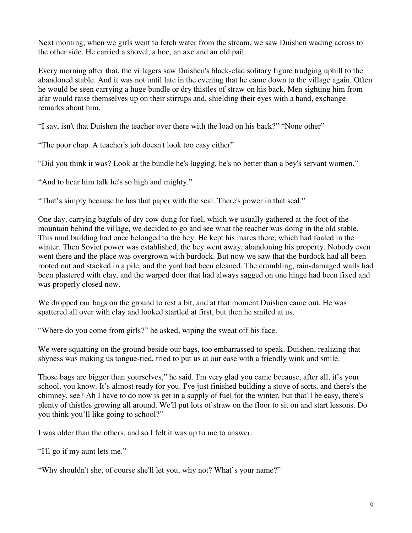Next morning, when we girls went to fetch water from the stream, we saw Duishen wading across to the other side. He carried a shovel, a hoe, an axe and an old pail.

Every morning after that, the villagers saw Duishen's black-clad solitary figure trudging uphill to the abandoned stable. And it was not until late in the evening that he came down to the village again. Often he would be seen carrying a huge bundle or dry thistles of straw on his back. Men sighting him from afar would raise themselves up on their stirrups and, shielding their eyes with a hand, exchange remarks about him.

"I say, isn't that Duishen the teacher over there with the load on his back?" "None other"

"The poor chap. A teacher's job doesn't look too easy either"

"Did you think it was? Look at the bundle he's lugging, he's no better than a bey's servant women."

"And to hear him talk he's so high and mighty."

"That's simply because he has that paper with the seal. There's power in that seal."

One day, carrying bagfuls of dry cow dung for fuel, which we usually gathered at the foot of the mountain behind the village, we decided to go and see what the teacher was doing in the old stable. This mud building had once belonged to the bey. He kept his mares there, which had foaled in the winter. Then Soviet power was established, the bey went away, abandoning his property. Nobody even went there and the place was overgrown with burdock. But now we saw that the burdock had all been rooted out and stacked in a pile, and the yard had been cleaned. The crumbling, rain-damaged walls had been plastered with clay, and the warped door that had always sagged on one hinge had been fixed and was properly closed now.

We dropped our bags on the ground to rest a bit, and at that moment Duishen came out. He was spattered all over with clay and looked startled at first, but then he smiled at us.

"Where do you come from girls?" he asked, wiping the sweat off his face.

We were squatting on the ground beside our bags, too embarrassed to speak. Duishen, realizing that shyness was making us tongue-tied, tried to put us at our ease with a friendly wink and smile.

Those bags are bigger than yourselves," he said. I'm very glad you came because, after all, it's your school, you know. It's almost ready for you. I've just finished building a stove of sorts, and there's the chimney, see? Ah I have to do now is get in a supply of fuel for the winter, but that'll be easy, there's plenty of thistles growing all around. We'll put lots of straw on the floor to sit on and start lessons. Do you think you'll like going to school?"

I was older than the others, and so I felt it was up to me to answer.

"I'll go if my aunt lets me."

"Why shouldn't she, of course she'll let you, why not? What's your name?"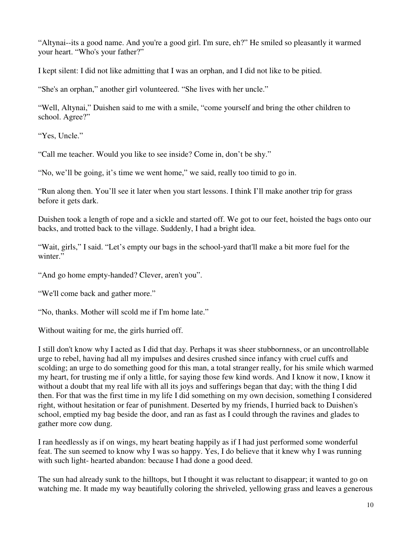"Altynai--its a good name. And you're a good girl. I'm sure, eh?" He smiled so pleasantly it warmed your heart. "Who's your father?"

I kept silent: I did not like admitting that I was an orphan, and I did not like to be pitied.

"She's an orphan," another girl volunteered. "She lives with her uncle."

"Well, Altynai," Duishen said to me with a smile, "come yourself and bring the other children to school. Agree?"

"Yes, Uncle."

"Call me teacher. Would you like to see inside? Come in, don't be shy."

"No, we'll be going, it's time we went home," we said, really too timid to go in.

"Run along then. You'll see it later when you start lessons. I think I'll make another trip for grass before it gets dark.

Duishen took a length of rope and a sickle and started off. We got to our feet, hoisted the bags onto our backs, and trotted back to the village. Suddenly, I had a bright idea.

"Wait, girls," I said. "Let's empty our bags in the school-yard that'll make a bit more fuel for the winter."

"And go home empty-handed? Clever, aren't you".

"We'll come back and gather more."

"No, thanks. Mother will scold me if I'm home late."

Without waiting for me, the girls hurried off.

I still don't know why I acted as I did that day. Perhaps it was sheer stubbornness, or an uncontrollable urge to rebel, having had all my impulses and desires crushed since infancy with cruel cuffs and scolding; an urge to do something good for this man, a total stranger really, for his smile which warmed my heart, for trusting me if only a little, for saying those few kind words. And I know it now, I know it without a doubt that my real life with all its joys and sufferings began that day; with the thing I did then. For that was the first time in my life I did something on my own decision, something I considered right, without hesitation or fear of punishment. Deserted by my friends, I hurried back to Duishen's school, emptied my bag beside the door, and ran as fast as I could through the ravines and glades to gather more cow dung.

I ran heedlessly as if on wings, my heart beating happily as if I had just performed some wonderful feat. The sun seemed to know why I was so happy. Yes, I do believe that it knew why I was running with such light- hearted abandon: because I had done a good deed.

The sun had already sunk to the hilltops, but I thought it was reluctant to disappear; it wanted to go on watching me. It made my way beautifully coloring the shriveled, yellowing grass and leaves a generous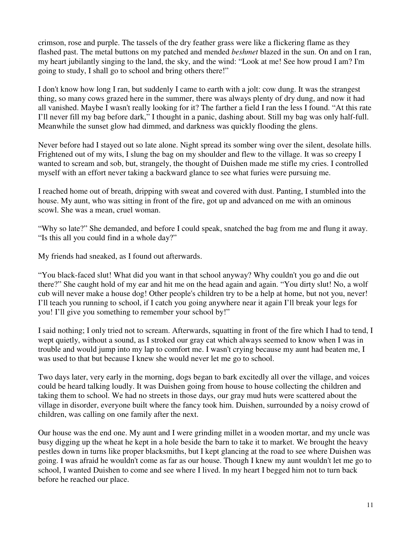crimson, rose and purple. The tassels of the dry feather grass were like a flickering flame as they flashed past. The metal buttons on my patched and mended *beshmet* blazed in the sun. On and on I ran, my heart jubilantly singing to the land, the sky, and the wind: "Look at me! See how proud I am? I'm going to study, I shall go to school and bring others there!"

I don't know how long I ran, but suddenly I came to earth with a jolt: cow dung. It was the strangest thing, so many cows grazed here in the summer, there was always plenty of dry dung, and now it had all vanished. Maybe I wasn't really looking for it? The farther a field I ran the less I found. "At this rate I'll never fill my bag before dark," I thought in a panic, dashing about. Still my bag was only half-full. Meanwhile the sunset glow had dimmed, and darkness was quickly flooding the glens.

Never before had I stayed out so late alone. Night spread its somber wing over the silent, desolate hills. Frightened out of my wits, I slung the bag on my shoulder and flew to the village. It was so creepy I wanted to scream and sob, but, strangely, the thought of Duishen made me stifle my cries. I controlled myself with an effort never taking a backward glance to see what furies were pursuing me.

I reached home out of breath, dripping with sweat and covered with dust. Panting, I stumbled into the house. My aunt, who was sitting in front of the fire, got up and advanced on me with an ominous scowl. She was a mean, cruel woman.

"Why so late?" She demanded, and before I could speak, snatched the bag from me and flung it away. "Is this all you could find in a whole day?"

My friends had sneaked, as I found out afterwards.

"You black-faced slut! What did you want in that school anyway? Why couldn't you go and die out there?" She caught hold of my ear and hit me on the head again and again. "You dirty slut! No, a wolf cub will never make a house dog! Other people's children try to be a help at home, but not you, never! I'll teach you running to school, if I catch you going anywhere near it again I'll break your legs for you! I'll give you something to remember your school by!"

I said nothing; I only tried not to scream. Afterwards, squatting in front of the fire which I had to tend, I wept quietly, without a sound, as I stroked our gray cat which always seemed to know when I was in trouble and would jump into my lap to comfort me. I wasn't crying because my aunt had beaten me, I was used to that but because I knew she would never let me go to school.

Two days later, very early in the morning, dogs began to bark excitedly all over the village, and voices could be heard talking loudly. It was Duishen going from house to house collecting the children and taking them to school. We had no streets in those days, our gray mud huts were scattered about the village in disorder, everyone built where the fancy took him. Duishen, surrounded by a noisy crowd of children, was calling on one family after the next.

Our house was the end one. My aunt and I were grinding millet in a wooden mortar, and my uncle was busy digging up the wheat he kept in a hole beside the barn to take it to market. We brought the heavy pestles down in turns like proper blacksmiths, but I kept glancing at the road to see where Duishen was going. I was afraid he wouldn't come as far as our house. Though I knew my aunt wouldn't let me go to school, I wanted Duishen to come and see where I lived. In my heart I begged him not to turn back before he reached our place.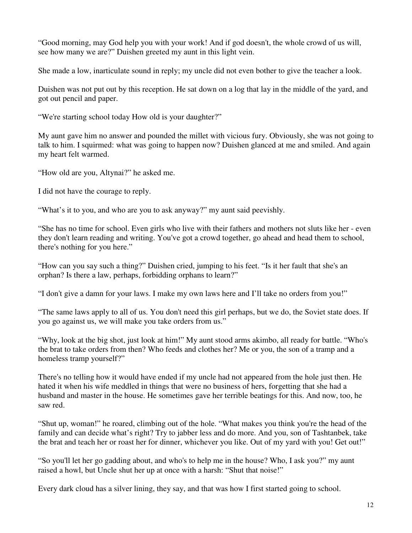"Good morning, may God help you with your work! And if god doesn't, the whole crowd of us will, see how many we are?" Duishen greeted my aunt in this light vein.

She made a low, inarticulate sound in reply; my uncle did not even bother to give the teacher a look.

Duishen was not put out by this reception. He sat down on a log that lay in the middle of the yard, and got out pencil and paper.

"We're starting school today How old is your daughter?"

My aunt gave him no answer and pounded the millet with vicious fury. Obviously, she was not going to talk to him. I squirmed: what was going to happen now? Duishen glanced at me and smiled. And again my heart felt warmed.

"How old are you, Altynai?" he asked me.

I did not have the courage to reply.

"What's it to you, and who are you to ask anyway?" my aunt said peevishly.

"She has no time for school. Even girls who live with their fathers and mothers not sluts like her - even they don't learn reading and writing. You've got a crowd together, go ahead and head them to school, there's nothing for you here."

"How can you say such a thing?" Duishen cried, jumping to his feet. "Is it her fault that she's an orphan? Is there a law, perhaps, forbidding orphans to learn?"

"I don't give a damn for your laws. I make my own laws here and I'll take no orders from you!"

"The same laws apply to all of us. You don't need this girl perhaps, but we do, the Soviet state does. If you go against us, we will make you take orders from us."

"Why, look at the big shot, just look at him!" My aunt stood arms akimbo, all ready for battle. "Who's the brat to take orders from then? Who feeds and clothes her? Me or you, the son of a tramp and a homeless tramp yourself?"

There's no telling how it would have ended if my uncle had not appeared from the hole just then. He hated it when his wife meddled in things that were no business of hers, forgetting that she had a husband and master in the house. He sometimes gave her terrible beatings for this. And now, too, he saw red.

"Shut up, woman!" he roared, climbing out of the hole. "What makes you think you're the head of the family and can decide what's right? Try to jabber less and do more. And you, son of Tashtanbek, take the brat and teach her or roast her for dinner, whichever you like. Out of my yard with you! Get out!"

"So you'll let her go gadding about, and who's to help me in the house? Who, I ask you?" my aunt raised a howl, but Uncle shut her up at once with a harsh: "Shut that noise!"

Every dark cloud has a silver lining, they say, and that was how I first started going to school.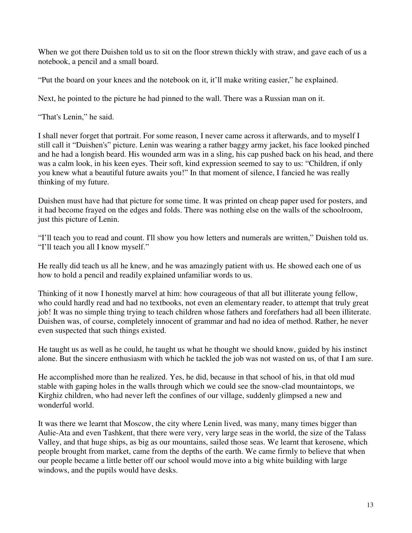When we got there Duishen told us to sit on the floor strewn thickly with straw, and gave each of us a notebook, a pencil and a small board.

"Put the board on your knees and the notebook on it, it'll make writing easier," he explained.

Next, he pointed to the picture he had pinned to the wall. There was a Russian man on it.

"That's Lenin," he said.

I shall never forget that portrait. For some reason, I never came across it afterwards, and to myself I still call it "Duishen's" picture. Lenin was wearing a rather baggy army jacket, his face looked pinched and he had a longish beard. His wounded arm was in a sling, his cap pushed back on his head, and there was a calm look, in his keen eyes. Their soft, kind expression seemed to say to us: "Children, if only you knew what a beautiful future awaits you!" In that moment of silence, I fancied he was really thinking of my future.

Duishen must have had that picture for some time. It was printed on cheap paper used for posters, and it had become frayed on the edges and folds. There was nothing else on the walls of the schoolroom, just this picture of Lenin.

"I'll teach you to read and count. I'll show you how letters and numerals are written," Duishen told us. "I'll teach you all I know myself."

He really did teach us all he knew, and he was amazingly patient with us. He showed each one of us how to hold a pencil and readily explained unfamiliar words to us.

Thinking of it now I honestly marvel at him: how courageous of that all but illiterate young fellow, who could hardly read and had no textbooks, not even an elementary reader, to attempt that truly great job! It was no simple thing trying to teach children whose fathers and forefathers had all been illiterate. Duishen was, of course, completely innocent of grammar and had no idea of method. Rather, he never even suspected that such things existed.

He taught us as well as he could, he taught us what he thought we should know, guided by his instinct alone. But the sincere enthusiasm with which he tackled the job was not wasted on us, of that I am sure.

He accomplished more than he realized. Yes, he did, because in that school of his, in that old mud stable with gaping holes in the walls through which we could see the snow-clad mountaintops, we Kirghiz children, who had never left the confines of our village, suddenly glimpsed a new and wonderful world.

It was there we learnt that Moscow, the city where Lenin lived, was many, many times bigger than Aulie-Ata and even Tashkent, that there were very, very large seas in the world, the size of the Talass Valley, and that huge ships, as big as our mountains, sailed those seas. We learnt that kerosene, which people brought from market, came from the depths of the earth. We came firmly to believe that when our people became a little better off our school would move into a big white building with large windows, and the pupils would have desks.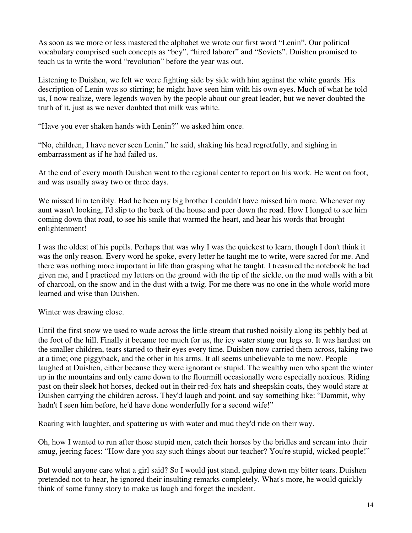As soon as we more or less mastered the alphabet we wrote our first word "Lenin". Our political vocabulary comprised such concepts as "bey", "hired laborer" and "Soviets". Duishen promised to teach us to write the word "revolution" before the year was out.

Listening to Duishen, we felt we were fighting side by side with him against the white guards. His description of Lenin was so stirring; he might have seen him with his own eyes. Much of what he told us, I now realize, were legends woven by the people about our great leader, but we never doubted the truth of it, just as we never doubted that milk was white.

"Have you ever shaken hands with Lenin?" we asked him once.

"No, children, I have never seen Lenin," he said, shaking his head regretfully, and sighing in embarrassment as if he had failed us.

At the end of every month Duishen went to the regional center to report on his work. He went on foot, and was usually away two or three days.

We missed him terribly. Had he been my big brother I couldn't have missed him more. Whenever my aunt wasn't looking, I'd slip to the back of the house and peer down the road. How I longed to see him coming down that road, to see his smile that warmed the heart, and hear his words that brought enlightenment!

I was the oldest of his pupils. Perhaps that was why I was the quickest to learn, though I don't think it was the only reason. Every word he spoke, every letter he taught me to write, were sacred for me. And there was nothing more important in life than grasping what he taught. I treasured the notebook he had given me, and I practiced my letters on the ground with the tip of the sickle, on the mud walls with a bit of charcoal, on the snow and in the dust with a twig. For me there was no one in the whole world more learned and wise than Duishen.

Winter was drawing close.

Until the first snow we used to wade across the little stream that rushed noisily along its pebbly bed at the foot of the hill. Finally it became too much for us, the icy water stung our legs so. It was hardest on the smaller children, tears started to their eyes every time. Duishen now carried them across, taking two at a time; one piggyback, and the other in his arms. It all seems unbelievable to me now. People laughed at Duishen, either because they were ignorant or stupid. The wealthy men who spent the winter up in the mountains and only came down to the flourmill occasionally were especially noxious. Riding past on their sleek hot horses, decked out in their red-fox hats and sheepskin coats, they would stare at Duishen carrying the children across. They'd laugh and point, and say something like: "Dammit, why hadn't I seen him before, he'd have done wonderfully for a second wife!"

Roaring with laughter, and spattering us with water and mud they'd ride on their way.

Oh, how I wanted to run after those stupid men, catch their horses by the bridles and scream into their smug, jeering faces: "How dare you say such things about our teacher? You're stupid, wicked people!"

But would anyone care what a girl said? So I would just stand, gulping down my bitter tears. Duishen pretended not to hear, he ignored their insulting remarks completely. What's more, he would quickly think of some funny story to make us laugh and forget the incident.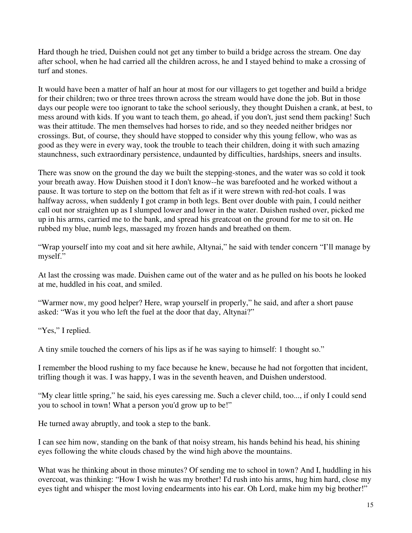Hard though he tried, Duishen could not get any timber to build a bridge across the stream. One day after school, when he had carried all the children across, he and I stayed behind to make a crossing of turf and stones.

It would have been a matter of half an hour at most for our villagers to get together and build a bridge for their children; two or three trees thrown across the stream would have done the job. But in those days our people were too ignorant to take the school seriously, they thought Duishen a crank, at best, to mess around with kids. If you want to teach them, go ahead, if you don't, just send them packing! Such was their attitude. The men themselves had horses to ride, and so they needed neither bridges nor crossings. But, of course, they should have stopped to consider why this young fellow, who was as good as they were in every way, took the trouble to teach their children, doing it with such amazing staunchness, such extraordinary persistence, undaunted by difficulties, hardships, sneers and insults.

There was snow on the ground the day we built the stepping-stones, and the water was so cold it took your breath away. How Duishen stood it I don't know--he was barefooted and he worked without a pause. It was torture to step on the bottom that felt as if it were strewn with red-hot coals. I was halfway across, when suddenly I got cramp in both legs. Bent over double with pain, I could neither call out nor straighten up as I slumped lower and lower in the water. Duishen rushed over, picked me up in his arms, carried me to the bank, and spread his greatcoat on the ground for me to sit on. He rubbed my blue, numb legs, massaged my frozen hands and breathed on them.

"Wrap yourself into my coat and sit here awhile, Altynai," he said with tender concern "I'll manage by myself."

At last the crossing was made. Duishen came out of the water and as he pulled on his boots he looked at me, huddled in his coat, and smiled.

"Warmer now, my good helper? Here, wrap yourself in properly," he said, and after a short pause asked: "Was it you who left the fuel at the door that day, Altynai?"

"Yes," I replied.

A tiny smile touched the corners of his lips as if he was saying to himself: 1 thought so."

I remember the blood rushing to my face because he knew, because he had not forgotten that incident, trifling though it was. I was happy, I was in the seventh heaven, and Duishen understood.

"My clear little spring," he said, his eyes caressing me. Such a clever child, too..., if only I could send you to school in town! What a person you'd grow up to be!"

He turned away abruptly, and took a step to the bank.

I can see him now, standing on the bank of that noisy stream, his hands behind his head, his shining eyes following the white clouds chased by the wind high above the mountains.

What was he thinking about in those minutes? Of sending me to school in town? And I, huddling in his overcoat, was thinking: "How I wish he was my brother! I'd rush into his arms, hug him hard, close my eyes tight and whisper the most loving endearments into his ear. Oh Lord, make him my big brother!"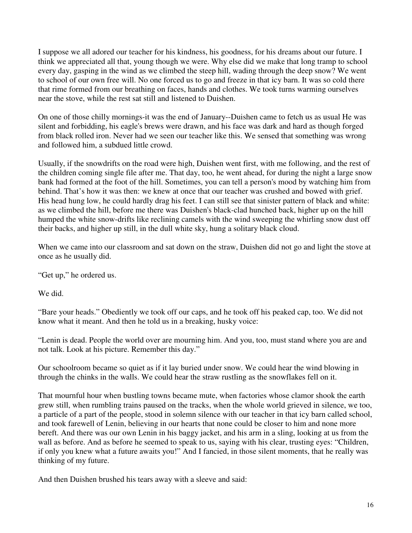I suppose we all adored our teacher for his kindness, his goodness, for his dreams about our future. I think we appreciated all that, young though we were. Why else did we make that long tramp to school every day, gasping in the wind as we climbed the steep hill, wading through the deep snow? We went to school of our own free will. No one forced us to go and freeze in that icy barn. It was so cold there that rime formed from our breathing on faces, hands and clothes. We took turns warming ourselves near the stove, while the rest sat still and listened to Duishen.

On one of those chilly mornings-it was the end of January--Duishen came to fetch us as usual He was silent and forbidding, his eagle's brews were drawn, and his face was dark and hard as though forged from black rolled iron. Never had we seen our teacher like this. We sensed that something was wrong and followed him, a subdued little crowd.

Usually, if the snowdrifts on the road were high, Duishen went first, with me following, and the rest of the children coming single file after me. That day, too, he went ahead, for during the night a large snow bank had formed at the foot of the hill. Sometimes, you can tell a person's mood by watching him from behind. That's how it was then: we knew at once that our teacher was crushed and bowed with grief. His head hung low, he could hardly drag his feet. I can still see that sinister pattern of black and white: as we climbed the hill, before me there was Duishen's black-clad hunched back, higher up on the hill humped the white snow-drifts like reclining camels with the wind sweeping the whirling snow dust off their backs, and higher up still, in the dull white sky, hung a solitary black cloud.

When we came into our classroom and sat down on the straw, Duishen did not go and light the stove at once as he usually did.

"Get up," he ordered us.

We did.

"Bare your heads." Obediently we took off our caps, and he took off his peaked cap, too. We did not know what it meant. And then he told us in a breaking, husky voice:

"Lenin is dead. People the world over are mourning him. And you, too, must stand where you are and not talk. Look at his picture. Remember this day."

Our schoolroom became so quiet as if it lay buried under snow. We could hear the wind blowing in through the chinks in the walls. We could hear the straw rustling as the snowflakes fell on it.

That mournful hour when bustling towns became mute, when factories whose clamor shook the earth grew still, when rumbling trains paused on the tracks, when the whole world grieved in silence, we too, a particle of a part of the people, stood in solemn silence with our teacher in that icy barn called school, and took farewell of Lenin, believing in our hearts that none could be closer to him and none more bereft. And there was our own Lenin in his baggy jacket, and his arm in a sling, looking at us from the wall as before. And as before he seemed to speak to us, saying with his clear, trusting eyes: "Children, if only you knew what a future awaits you!" And I fancied, in those silent moments, that he really was thinking of my future.

And then Duishen brushed his tears away with a sleeve and said: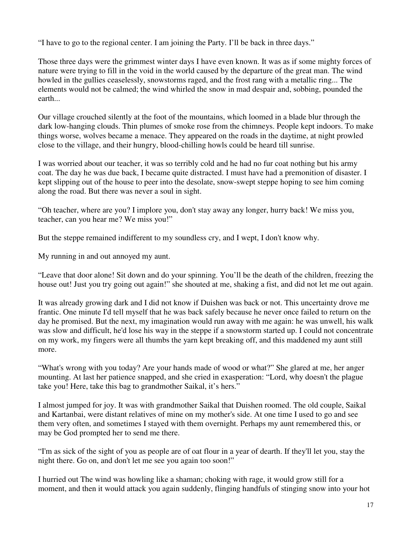"I have to go to the regional center. I am joining the Party. I'll be back in three days."

Those three days were the grimmest winter days I have even known. It was as if some mighty forces of nature were trying to fill in the void in the world caused by the departure of the great man. The wind howled in the gullies ceaselessly, snowstorms raged, and the frost rang with a metallic ring... The elements would not be calmed; the wind whirled the snow in mad despair and, sobbing, pounded the earth...

Our village crouched silently at the foot of the mountains, which loomed in a blade blur through the dark low-hanging clouds. Thin plumes of smoke rose from the chimneys. People kept indoors. To make things worse, wolves became a menace. They appeared on the roads in the daytime, at night prowled close to the village, and their hungry, blood-chilling howls could be heard till sunrise.

I was worried about our teacher, it was so terribly cold and he had no fur coat nothing but his army coat. The day he was due back, I became quite distracted. I must have had a premonition of disaster. I kept slipping out of the house to peer into the desolate, snow-swept steppe hoping to see him coming along the road. But there was never a soul in sight.

"Oh teacher, where are you? I implore you, don't stay away any longer, hurry back! We miss you, teacher, can you hear me? We miss you!"

But the steppe remained indifferent to my soundless cry, and I wept, I don't know why.

My running in and out annoyed my aunt.

"Leave that door alone! Sit down and do your spinning. You'll be the death of the children, freezing the house out! Just you try going out again!" she shouted at me, shaking a fist, and did not let me out again.

It was already growing dark and I did not know if Duishen was back or not. This uncertainty drove me frantic. One minute I'd tell myself that he was back safely because he never once failed to return on the day he promised. But the next, my imagination would run away with me again: he was unwell, his walk was slow and difficult, he'd lose his way in the steppe if a snowstorm started up. I could not concentrate on my work, my fingers were all thumbs the yarn kept breaking off, and this maddened my aunt still more.

"What's wrong with you today? Are your hands made of wood or what?" She glared at me, her anger mounting. At last her patience snapped, and she cried in exasperation: "Lord, why doesn't the plague take you! Here, take this bag to grandmother Saikal, it's hers."

I almost jumped for joy. It was with grandmother Saikal that Duishen roomed. The old couple, Saikal and Kartanbai, were distant relatives of mine on my mother's side. At one time I used to go and see them very often, and sometimes I stayed with them overnight. Perhaps my aunt remembered this, or may be God prompted her to send me there.

"I'm as sick of the sight of you as people are of oat flour in a year of dearth. If they'll let you, stay the night there. Go on, and don't let me see you again too soon!"

I hurried out The wind was howling like a shaman; choking with rage, it would grow still for a moment, and then it would attack you again suddenly, flinging handfuls of stinging snow into your hot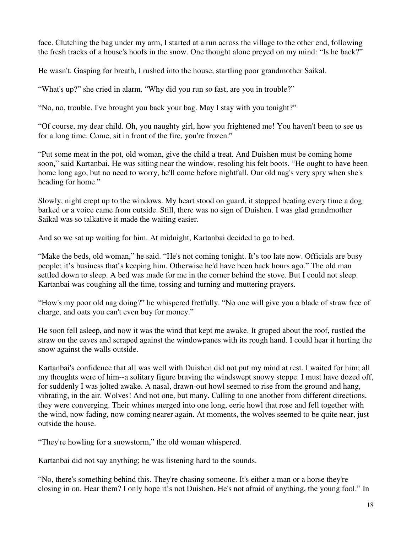face. Clutching the bag under my arm, I started at a run across the village to the other end, following the fresh tracks of a house's hoofs in the snow. One thought alone preyed on my mind: "Is he back?"

He wasn't. Gasping for breath, I rushed into the house, startling poor grandmother Saikal.

"What's up?" she cried in alarm. "Why did you run so fast, are you in trouble?"

"No, no, trouble. I've brought you back your bag. May I stay with you tonight?"

"Of course, my dear child. Oh, you naughty girl, how you frightened me! You haven't been to see us for a long time. Come, sit in front of the fire, you're frozen."

"Put some meat in the pot, old woman, give the child a treat. And Duishen must be coming home soon," said Kartanbai. He was sitting near the window, resoling his felt boots. "He ought to have been home long ago, but no need to worry, he'll come before nightfall. Our old nag's very spry when she's heading for home."

Slowly, night crept up to the windows. My heart stood on guard, it stopped beating every time a dog barked or a voice came from outside. Still, there was no sign of Duishen. I was glad grandmother Saikal was so talkative it made the waiting easier.

And so we sat up waiting for him. At midnight, Kartanbai decided to go to bed.

"Make the beds, old woman," he said. "He's not coming tonight. It's too late now. Officials are busy people; it's business that's keeping him. Otherwise he'd have been back hours ago." The old man settled down to sleep. A bed was made for me in the corner behind the stove. But I could not sleep. Kartanbai was coughing all the time, tossing and turning and muttering prayers.

"How's my poor old nag doing?" he whispered fretfully. "No one will give you a blade of straw free of charge, and oats you can't even buy for money."

He soon fell asleep, and now it was the wind that kept me awake. It groped about the roof, rustled the straw on the eaves and scraped against the windowpanes with its rough hand. I could hear it hurting the snow against the walls outside.

Kartanbai's confidence that all was well with Duishen did not put my mind at rest. I waited for him; all my thoughts were of him--a solitary figure braving the windswept snowy steppe. I must have dozed off, for suddenly I was jolted awake. A nasal, drawn-out howl seemed to rise from the ground and hang, vibrating, in the air. Wolves! And not one, but many. Calling to one another from different directions, they were converging. Their whines merged into one long, eerie howl that rose and fell together with the wind, now fading, now coming nearer again. At moments, the wolves seemed to be quite near, just outside the house.

"They're howling for a snowstorm," the old woman whispered.

Kartanbai did not say anything; he was listening hard to the sounds.

"No, there's something behind this. They're chasing someone. It's either a man or a horse they're closing in on. Hear them? I only hope it's not Duishen. He's not afraid of anything, the young fool." In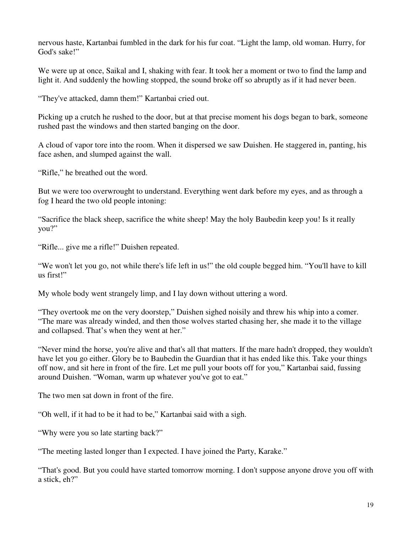nervous haste, Kartanbai fumbled in the dark for his fur coat. "Light the lamp, old woman. Hurry, for God's sake!"

We were up at once, Saikal and I, shaking with fear. It took her a moment or two to find the lamp and light it. And suddenly the howling stopped, the sound broke off so abruptly as if it had never been.

"They've attacked, damn them!" Kartanbai cried out.

Picking up a crutch he rushed to the door, but at that precise moment his dogs began to bark, someone rushed past the windows and then started banging on the door.

A cloud of vapor tore into the room. When it dispersed we saw Duishen. He staggered in, panting, his face ashen, and slumped against the wall.

"Rifle," he breathed out the word.

But we were too overwrought to understand. Everything went dark before my eyes, and as through a fog I heard the two old people intoning:

"Sacrifice the black sheep, sacrifice the white sheep! May the holy Baubedin keep you! Is it really you?"

"Rifle... give me a rifle!" Duishen repeated.

"We won't let you go, not while there's life left in us!" the old couple begged him. "You'll have to kill us first!"

My whole body went strangely limp, and I lay down without uttering a word.

"They overtook me on the very doorstep," Duishen sighed noisily and threw his whip into a comer. "The mare was already winded, and then those wolves started chasing her, she made it to the village and collapsed. That's when they went at her."

"Never mind the horse, you're alive and that's all that matters. If the mare hadn't dropped, they wouldn't have let you go either. Glory be to Baubedin the Guardian that it has ended like this. Take your things off now, and sit here in front of the fire. Let me pull your boots off for you," Kartanbai said, fussing around Duishen. "Woman, warm up whatever you've got to eat."

The two men sat down in front of the fire.

"Oh well, if it had to be it had to be," Kartanbai said with a sigh.

"Why were you so late starting back?"

"The meeting lasted longer than I expected. I have joined the Party, Karake."

"That's good. But you could have started tomorrow morning. I don't suppose anyone drove you off with a stick, eh?"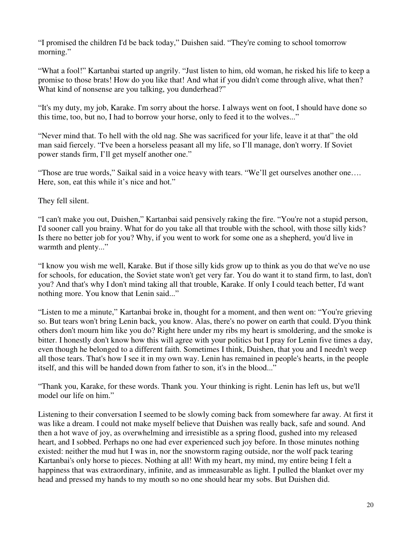"I promised the children I'd be back today," Duishen said. "They're coming to school tomorrow morning."

"What a fool!" Kartanbai started up angrily. "Just listen to him, old woman, he risked his life to keep a promise to those brats! How do you like that! And what if you didn't come through alive, what then? What kind of nonsense are you talking, you dunderhead?"

"It's my duty, my job, Karake. I'm sorry about the horse. I always went on foot, I should have done so this time, too, but no, I had to borrow your horse, only to feed it to the wolves..."

"Never mind that. To hell with the old nag. She was sacrificed for your life, leave it at that" the old man said fiercely. "I've been a horseless peasant all my life, so I'll manage, don't worry. If Soviet power stands firm, I'll get myself another one."

"Those are true words," Saikal said in a voice heavy with tears. "We'll get ourselves another one…. Here, son, eat this while it's nice and hot."

They fell silent.

"I can't make you out, Duishen," Kartanbai said pensively raking the fire. "You're not a stupid person, I'd sooner call you brainy. What for do you take all that trouble with the school, with those silly kids? Is there no better job for you? Why, if you went to work for some one as a shepherd, you'd live in warmth and plenty..."

"I know you wish me well, Karake. But if those silly kids grow up to think as you do that we've no use for schools, for education, the Soviet state won't get very far. You do want it to stand firm, to last, don't you? And that's why I don't mind taking all that trouble, Karake. If only I could teach better, I'd want nothing more. You know that Lenin said..."

"Listen to me a minute," Kartanbai broke in, thought for a moment, and then went on: "You're grieving so. But tears won't bring Lenin back, you know. Alas, there's no power on earth that could. D'you think others don't mourn him like you do? Right here under my ribs my heart is smoldering, and the smoke is bitter. I honestly don't know how this will agree with your politics but I pray for Lenin five times a day, even though he belonged to a different faith. Sometimes I think, Duishen, that you and I needn't weep all those tears. That's how I see it in my own way. Lenin has remained in people's hearts, in the people itself, and this will be handed down from father to son, it's in the blood..."

"Thank you, Karake, for these words. Thank you. Your thinking is right. Lenin has left us, but we'll model our life on him."

Listening to their conversation I seemed to be slowly coming back from somewhere far away. At first it was like a dream. I could not make myself believe that Duishen was really back, safe and sound. And then a hot wave of joy, as overwhelming and irresistible as a spring flood, gushed into my released heart, and I sobbed. Perhaps no one had ever experienced such joy before. In those minutes nothing existed: neither the mud hut I was in, nor the snowstorm raging outside, nor the wolf pack tearing Kartanbai's only horse to pieces. Nothing at all! With my heart, my mind, my entire being I felt a happiness that was extraordinary, infinite, and as immeasurable as light. I pulled the blanket over my head and pressed my hands to my mouth so no one should hear my sobs. But Duishen did.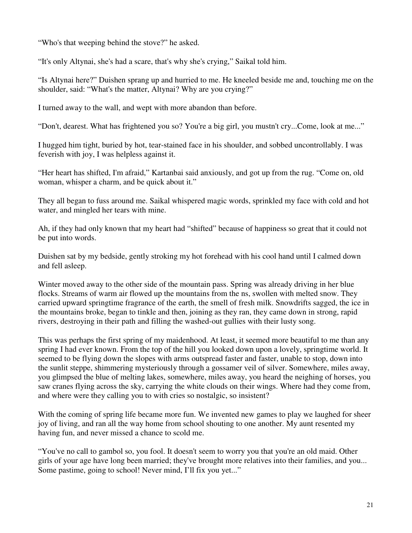"Who's that weeping behind the stove?" he asked.

"It's only Altynai, she's had a scare, that's why she's crying," Saikal told him.

"Is Altynai here?" Duishen sprang up and hurried to me. He kneeled beside me and, touching me on the shoulder, said: "What's the matter, Altynai? Why are you crying?"

I turned away to the wall, and wept with more abandon than before.

"Don't, dearest. What has frightened you so? You're a big girl, you mustn't cry...Come, look at me..."

I hugged him tight, buried by hot, tear-stained face in his shoulder, and sobbed uncontrollably. I was feverish with joy, I was helpless against it.

"Her heart has shifted, I'm afraid," Kartanbai said anxiously, and got up from the rug. "Come on, old woman, whisper a charm, and be quick about it."

They all began to fuss around me. Saikal whispered magic words, sprinkled my face with cold and hot water, and mingled her tears with mine.

Ah, if they had only known that my heart had "shifted" because of happiness so great that it could not be put into words.

Duishen sat by my bedside, gently stroking my hot forehead with his cool hand until I calmed down and fell asleep.

Winter moved away to the other side of the mountain pass. Spring was already driving in her blue flocks. Streams of warm air flowed up the mountains from the ns, swollen with melted snow. They carried upward springtime fragrance of the earth, the smell of fresh milk. Snowdrifts sagged, the ice in the mountains broke, began to tinkle and then, joining as they ran, they came down in strong, rapid rivers, destroying in their path and filling the washed-out gullies with their lusty song.

This was perhaps the first spring of my maidenhood. At least, it seemed more beautiful to me than any spring I had ever known. From the top of the hill you looked down upon a lovely, springtime world. It seemed to be flying down the slopes with arms outspread faster and faster, unable to stop, down into the sunlit steppe, shimmering mysteriously through a gossamer veil of silver. Somewhere, miles away, you glimpsed the blue of melting lakes, somewhere, miles away, you heard the neighing of horses, you saw cranes flying across the sky, carrying the white clouds on their wings. Where had they come from, and where were they calling you to with cries so nostalgic, so insistent?

With the coming of spring life became more fun. We invented new games to play we laughed for sheer joy of living, and ran all the way home from school shouting to one another. My aunt resented my having fun, and never missed a chance to scold me.

"You've no call to gambol so, you fool. It doesn't seem to worry you that you're an old maid. Other girls of your age have long been married; they've brought more relatives into their families, and you... Some pastime, going to school! Never mind, I'll fix you yet..."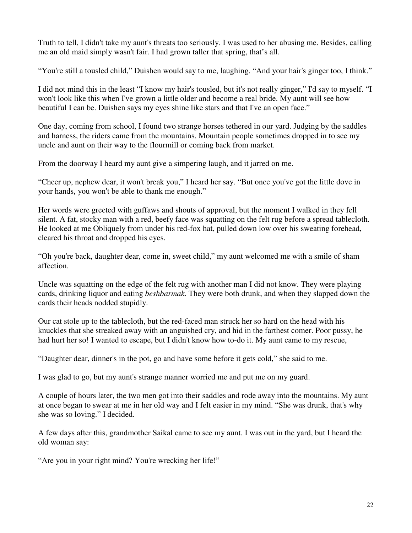Truth to tell, I didn't take my aunt's threats too seriously. I was used to her abusing me. Besides, calling me an old maid simply wasn't fair. I had grown taller that spring, that's all.

"You're still a tousled child," Duishen would say to me, laughing. "And your hair's ginger too, I think."

I did not mind this in the least "I know my hair's tousled, but it's not really ginger," I'd say to myself. "I won't look like this when I've grown a little older and become a real bride. My aunt will see how beautiful I can be. Duishen says my eyes shine like stars and that I've an open face."

One day, coming from school, I found two strange horses tethered in our yard. Judging by the saddles and harness, the riders came from the mountains. Mountain people sometimes dropped in to see my uncle and aunt on their way to the flourmill or coming back from market.

From the doorway I heard my aunt give a simpering laugh, and it jarred on me.

"Cheer up, nephew dear, it won't break you," I heard her say. "But once you've got the little dove in your hands, you won't be able to thank me enough."

Her words were greeted with guffaws and shouts of approval, but the moment I walked in they fell silent. A fat, stocky man with a red, beefy face was squatting on the felt rug before a spread tablecloth. He looked at me Obliquely from under his red-fox hat, pulled down low over his sweating forehead, cleared his throat and dropped his eyes.

"Oh you're back, daughter dear, come in, sweet child," my aunt welcomed me with a smile of sham affection.

Uncle was squatting on the edge of the felt rug with another man I did not know. They were playing cards, drinking liquor and eating *beshbarmak*. They were both drunk, and when they slapped down the cards their heads nodded stupidly.

Our cat stole up to the tablecloth, but the red-faced man struck her so hard on the head with his knuckles that she streaked away with an anguished cry, and hid in the farthest comer. Poor pussy, he had hurt her so! I wanted to escape, but I didn't know how to-do it. My aunt came to my rescue,

"Daughter dear, dinner's in the pot, go and have some before it gets cold," she said to me.

I was glad to go, but my aunt's strange manner worried me and put me on my guard.

A couple of hours later, the two men got into their saddles and rode away into the mountains. My aunt at once began to swear at me in her old way and I felt easier in my mind. "She was drunk, that's why she was so loving." I decided.

A few days after this, grandmother Saikal came to see my aunt. I was out in the yard, but I heard the old woman say:

"Are you in your right mind? You're wrecking her life!"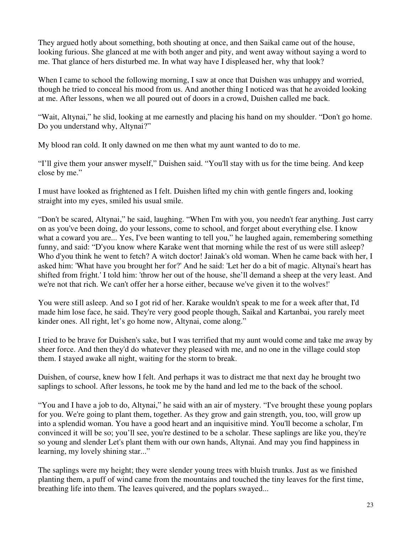They argued hotly about something, both shouting at once, and then Saikal came out of the house, looking furious. She glanced at me with both anger and pity, and went away without saying a word to me. That glance of hers disturbed me. In what way have I displeased her, why that look?

When I came to school the following morning, I saw at once that Duishen was unhappy and worried, though he tried to conceal his mood from us. And another thing I noticed was that he avoided looking at me. After lessons, when we all poured out of doors in a crowd, Duishen called me back.

"Wait, Altynai," he slid, looking at me earnestly and placing his hand on my shoulder. "Don't go home. Do you understand why, Altynai?"

My blood ran cold. It only dawned on me then what my aunt wanted to do to me.

"I'll give them your answer myself," Duishen said. "You'll stay with us for the time being. And keep close by me."

I must have looked as frightened as I felt. Duishen lifted my chin with gentle fingers and, looking straight into my eyes, smiled his usual smile.

"Don't be scared, Altynai," he said, laughing. "When I'm with you, you needn't fear anything. Just carry on as you've been doing, do your lessons, come to school, and forget about everything else. I know what a coward you are... Yes, I've been wanting to tell you," he laughed again, remembering something funny, and said: "D'you know where Karake went that morning while the rest of us were still asleep? Who d'you think he went to fetch? A witch doctor! Jainak's old woman. When he came back with her, I asked him: 'What have you brought her for?' And he said: 'Let her do a bit of magic. Altynai's heart has shifted from fright.' I told him: 'throw her out of the house, she'll demand a sheep at the very least. And we're not that rich. We can't offer her a horse either, because we've given it to the wolves!'

You were still asleep. And so I got rid of her. Karake wouldn't speak to me for a week after that, I'd made him lose face, he said. They're very good people though, Saikal and Kartanbai, you rarely meet kinder ones. All right, let's go home now, Altynai, come along."

I tried to be brave for Duishen's sake, but I was terrified that my aunt would come and take me away by sheer force. And then they'd do whatever they pleased with me, and no one in the village could stop them. I stayed awake all night, waiting for the storm to break.

Duishen, of course, knew how I felt. And perhaps it was to distract me that next day he brought two saplings to school. After lessons, he took me by the hand and led me to the back of the school.

"You and I have a job to do, Altynai," he said with an air of mystery. "I've brought these young poplars for you. We're going to plant them, together. As they grow and gain strength, you, too, will grow up into a splendid woman. You have a good heart and an inquisitive mind. You'll become a scholar, I'm convinced it will be so; you'll see, you're destined to be a scholar. These saplings are like you, they're so young and slender Let's plant them with our own hands, Altynai. And may you find happiness in learning, my lovely shining star..."

The saplings were my height; they were slender young trees with bluish trunks. Just as we finished planting them, a puff of wind came from the mountains and touched the tiny leaves for the first time, breathing life into them. The leaves quivered, and the poplars swayed...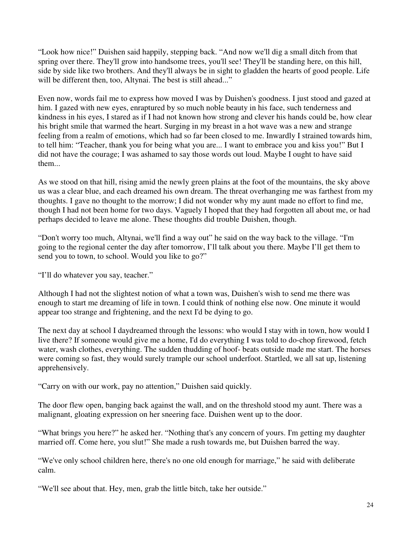"Look how nice!" Duishen said happily, stepping back. "And now we'll dig a small ditch from that spring over there. They'll grow into handsome trees, you'll see! They'll be standing here, on this hill, side by side like two brothers. And they'll always be in sight to gladden the hearts of good people. Life will be different then, too, Altynai. The best is still ahead..."

Even now, words fail me to express how moved I was by Duishen's goodness. I just stood and gazed at him. I gazed with new eyes, enraptured by so much noble beauty in his face, such tenderness and kindness in his eyes, I stared as if I had not known how strong and clever his hands could be, how clear his bright smile that warmed the heart. Surging in my breast in a hot wave was a new and strange feeling from a realm of emotions, which had so far been closed to me. Inwardly I strained towards him, to tell him: "Teacher, thank you for being what you are... I want to embrace you and kiss you!" But I did not have the courage; I was ashamed to say those words out loud. Maybe I ought to have said them...

As we stood on that hill, rising amid the newly green plains at the foot of the mountains, the sky above us was a clear blue, and each dreamed his own dream. The threat overhanging me was farthest from my thoughts. I gave no thought to the morrow; I did not wonder why my aunt made no effort to find me, though I had not been home for two days. Vaguely I hoped that they had forgotten all about me, or had perhaps decided to leave me alone. These thoughts did trouble Duishen, though.

"Don't worry too much, Altynai, we'll find a way out" he said on the way back to the village. "I'm going to the regional center the day after tomorrow, I'll talk about you there. Maybe I'll get them to send you to town, to school. Would you like to go?"

"I'll do whatever you say, teacher."

Although I had not the slightest notion of what a town was, Duishen's wish to send me there was enough to start me dreaming of life in town. I could think of nothing else now. One minute it would appear too strange and frightening, and the next I'd be dying to go.

The next day at school I daydreamed through the lessons: who would I stay with in town, how would I live there? If someone would give me a home, I'd do everything I was told to do-chop firewood, fetch water, wash clothes, everything. The sudden thudding of hoof- beats outside made me start. The horses were coming so fast, they would surely trample our school underfoot. Startled, we all sat up, listening apprehensively.

"Carry on with our work, pay no attention," Duishen said quickly.

The door flew open, banging back against the wall, and on the threshold stood my aunt. There was a malignant, gloating expression on her sneering face. Duishen went up to the door.

"What brings you here?" he asked her. "Nothing that's any concern of yours. I'm getting my daughter married off. Come here, you slut!" She made a rush towards me, but Duishen barred the way.

"We've only school children here, there's no one old enough for marriage," he said with deliberate calm.

"We'll see about that. Hey, men, grab the little bitch, take her outside."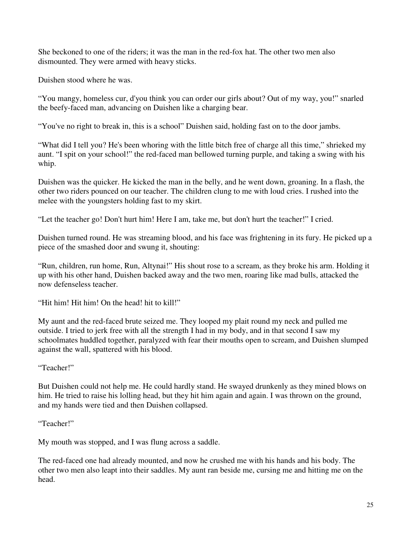She beckoned to one of the riders; it was the man in the red-fox hat. The other two men also dismounted. They were armed with heavy sticks.

Duishen stood where he was.

"You mangy, homeless cur, d'you think you can order our girls about? Out of my way, you!" snarled the beefy-faced man, advancing on Duishen like a charging bear.

"You've no right to break in, this is a school" Duishen said, holding fast on to the door jambs.

"What did I tell you? He's been whoring with the little bitch free of charge all this time," shrieked my aunt. "I spit on your school!" the red-faced man bellowed turning purple, and taking a swing with his whip.

Duishen was the quicker. He kicked the man in the belly, and he went down, groaning. In a flash, the other two riders pounced on our teacher. The children clung to me with loud cries. I rushed into the melee with the youngsters holding fast to my skirt.

"Let the teacher go! Don't hurt him! Here I am, take me, but don't hurt the teacher!" I cried.

Duishen turned round. He was streaming blood, and his face was frightening in its fury. He picked up a piece of the smashed door and swung it, shouting:

"Run, children, run home, Run, Altynai!" His shout rose to a scream, as they broke his arm. Holding it up with his other hand, Duishen backed away and the two men, roaring like mad bulls, attacked the now defenseless teacher.

"Hit him! Hit him! On the head! hit to kill!"

My aunt and the red-faced brute seized me. They looped my plait round my neck and pulled me outside. I tried to jerk free with all the strength I had in my body, and in that second I saw my schoolmates huddled together, paralyzed with fear their mouths open to scream, and Duishen slumped against the wall, spattered with his blood.

"Teacher!"

But Duishen could not help me. He could hardly stand. He swayed drunkenly as they mined blows on him. He tried to raise his lolling head, but they hit him again and again. I was thrown on the ground, and my hands were tied and then Duishen collapsed.

"Teacher!"

My mouth was stopped, and I was flung across a saddle.

The red-faced one had already mounted, and now he crushed me with his hands and his body. The other two men also leapt into their saddles. My aunt ran beside me, cursing me and hitting me on the head.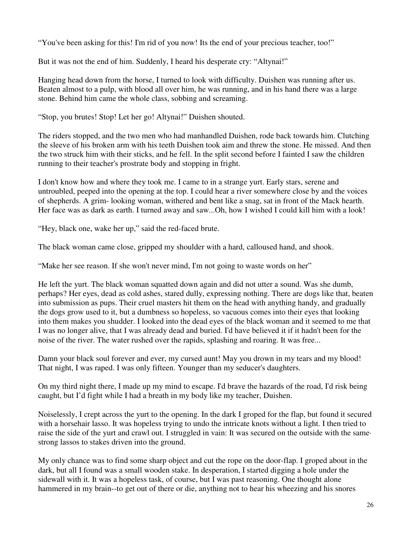"You've been asking for this! I'm rid of you now! Its the end of your precious teacher, too!"

But it was not the end of him. Suddenly, I heard his desperate cry: "Altynai!"

Hanging head down from the horse, I turned to look with difficulty. Duishen was running after us. Beaten almost to a pulp, with blood all over him, he was running, and in his hand there was a large stone. Behind him came the whole class, sobbing and screaming.

"Stop, you brutes! Stop! Let her go! Altynai!" Duishen shouted.

The riders stopped, and the two men who had manhandled Duishen, rode back towards him. Clutching the sleeve of his broken arm with his teeth Duishen took aim and threw the stone. He missed. And then the two struck him with their sticks, and he fell. In the split second before I fainted I saw the children running to their teacher's prostrate body and stopping in fright.

I don't know how and where they took me. I came to in a strange yurt. Early stars, serene and untroubled, peeped into the opening at the top. I could hear a river somewhere close by and the voices of shepherds. A grim- looking woman, withered and bent like a snag, sat in front of the Mack hearth. Her face was as dark as earth. I turned away and saw...Oh, how I wished I could kill him with a look!

"Hey, black one, wake her up," said the red-faced brute.

The black woman came close, gripped my shoulder with a hard, calloused hand, and shook.

"Make her see reason. If she won't never mind, I'm not going to waste words on her"

He left the yurt. The black woman squatted down again and did not utter a sound. Was she dumb, perhaps? Her eyes, dead as cold ashes, stared dully, expressing nothing. There are dogs like that, beaten into submission as pups. Their cruel masters hit them on the head with anything handy, and gradually the dogs grow used to it, but a dumbness so hopeless, so vacuous comes into their eyes that looking into them makes you shudder. I looked into the dead eyes of the black woman and it seemed to me that I was no longer alive, that I was already dead and buried. I'd have believed it if it hadn't been for the noise of the river. The water rushed over the rapids, splashing and roaring. It was free...

Damn your black soul forever and ever, my cursed aunt! May you drown in my tears and my blood! That night, I was raped. I was only fifteen. Younger than my seducer's daughters.

On my third night there, I made up my mind to escape. I'd brave the hazards of the road, I'd risk being caught, but I'd fight while I had a breath in my body like my teacher, Duishen.

Noiselessly, I crept across the yurt to the opening. In the dark I groped for the flap, but found it secured with a horsehair lasso. It was hopeless trying to undo the intricate knots without a light. I then tried to raise the side of the yurt and crawl out. I struggled in vain: It was secured on the outside with the same· strong lassos to stakes driven into the ground.

My only chance was to find some sharp object and cut the rope on the door-flap. I groped about in the dark, but all I found was a small wooden stake. In desperation, I started digging a hole under the sidewall with it. It was a hopeless task, of course, but I was past reasoning. One thought alone hammered in my brain--to get out of there or die, anything not to hear his wheezing and his snores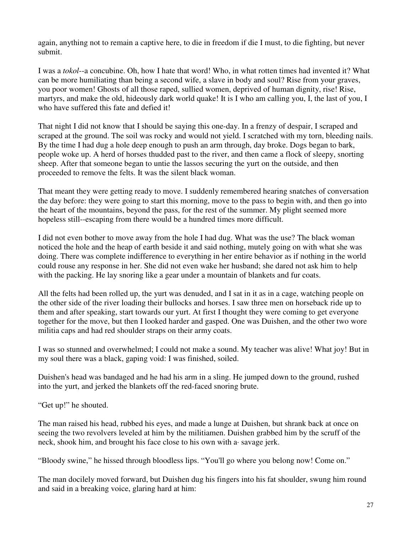again, anything not to remain a captive here, to die in freedom if die I must, to die fighting, but never submit.

I was a *tokol*--a concubine. Oh, how I hate that word! Who, in what rotten times had invented it? What can be more humiliating than being a second wife, a slave in body and soul? Rise from your graves, you poor women! Ghosts of all those raped, sullied women, deprived of human dignity, rise! Rise, martyrs, and make the old, hideously dark world quake! It is I who am calling you, I, the last of you, I who have suffered this fate and defied it!

That night I did not know that I should be saying this one-day. In a frenzy of despair, I scraped and scraped at the ground. The soil was rocky and would not yield. I scratched with my torn, bleeding nails. By the time I had dug a hole deep enough to push an arm through, day broke. Dogs began to bark, people woke up. A herd of horses thudded past to the river, and then came a flock of sleepy, snorting sheep. After that someone began to untie the lassos securing the yurt on the outside, and then proceeded to remove the felts. It was the silent black woman.

That meant they were getting ready to move. I suddenly remembered hearing snatches of conversation the day before: they were going to start this morning, move to the pass to begin with, and then go into the heart of the mountains, beyond the pass, for the rest of the summer. My plight seemed more hopeless still--escaping from there would be a hundred times more difficult.

I did not even bother to move away from the hole I had dug. What was the use? The black woman noticed the hole and the heap of earth beside it and said nothing, mutely going on with what she was doing. There was complete indifference to everything in her entire behavior as if nothing in the world could rouse any response in her. She did not even wake her husband; she dared not ask him to help with the packing. He lay snoring like a gear under a mountain of blankets and fur coats.

All the felts had been rolled up, the yurt was denuded, and I sat in it as in a cage, watching people on the other side of the river loading their bullocks and horses. I saw three men on horseback ride up to them and after speaking, start towards our yurt. At first I thought they were coming to get everyone together for the move, but then I looked harder and gasped. One was Duishen, and the other two wore militia caps and had red shoulder straps on their army coats.

I was so stunned and overwhelmed; I could not make a sound. My teacher was alive! What joy! But in my soul there was a black, gaping void: I was finished, soiled.

Duishen's head was bandaged and he had his arm in a sling. He jumped down to the ground, rushed into the yurt, and jerked the blankets off the red-faced snoring brute.

"Get up!" he shouted.

The man raised his head, rubbed his eyes, and made a lunge at Duishen, but shrank back at once on seeing the two revolvers leveled at him by the militiamen. Duishen grabbed him by the scruff of the neck, shook him, and brought his face close to his own with a· savage jerk.

"Bloody swine," he hissed through bloodless lips. "You'll go where you belong now! Come on."

The man docilely moved forward, but Duishen dug his fingers into his fat shoulder, swung him round and said in a breaking voice, glaring hard at him: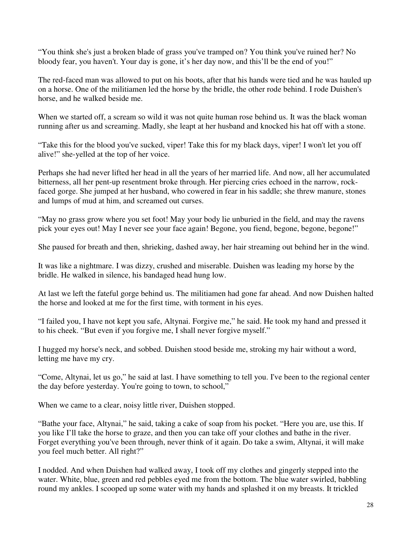"You think she's just a broken blade of grass you've tramped on? You think you've ruined her? No bloody fear, you haven't. Your day is gone, it's her day now, and this'll be the end of you!"

The red-faced man was allowed to put on his boots, after that his hands were tied and he was hauled up on a horse. One of the militiamen led the horse by the bridle, the other rode behind. I rode Duishen's horse, and he walked beside me.

When we started off, a scream so wild it was not quite human rose behind us. It was the black woman running after us and screaming. Madly, she leapt at her husband and knocked his hat off with a stone.

"Take this for the blood you've sucked, viper! Take this for my black days, viper! I won't let you off alive!" she-yelled at the top of her voice.

Perhaps she had never lifted her head in all the years of her married life. And now, all her accumulated bitterness, all her pent-up resentment broke through. Her piercing cries echoed in the narrow, rockfaced gorge. She jumped at her husband, who cowered in fear in his saddle; she threw manure, stones and lumps of mud at him, and screamed out curses.

"May no grass grow where you set foot! May your body lie unburied in the field, and may the ravens pick your eyes out! May I never see your face again! Begone, you fiend, begone, begone, begone!"

She paused for breath and then, shrieking, dashed away, her hair streaming out behind her in the wind.

It was like a nightmare. I was dizzy, crushed and miserable. Duishen was leading my horse by the bridle. He walked in silence, his bandaged head hung low.

At last we left the fateful gorge behind us. The militiamen had gone far ahead. And now Duishen halted the horse and looked at me for the first time, with torment in his eyes.

"I failed you, I have not kept you safe, Altynai. Forgive me," he said. He took my hand and pressed it to his cheek. "But even if you forgive me, I shall never forgive myself."

I hugged my horse's neck, and sobbed. Duishen stood beside me, stroking my hair without a word, letting me have my cry.

"Come, Altynai, let us go," he said at last. I have something to tell you. I've been to the regional center the day before yesterday. You're going to town, to school,"

When we came to a clear, noisy little river, Duishen stopped.

"Bathe your face, Altynai," he said, taking a cake of soap from his pocket. "Here you are, use this. If you like I'll take the horse to graze, and then you can take off your clothes and bathe in the river. Forget everything you've been through, never think of it again. Do take a swim, Altynai, it will make you feel much better. All right?"

I nodded. And when Duishen had walked away, I took off my clothes and gingerly stepped into the water. White, blue, green and red pebbles eyed me from the bottom. The blue water swirled, babbling round my ankles. I scooped up some water with my hands and splashed it on my breasts. It trickled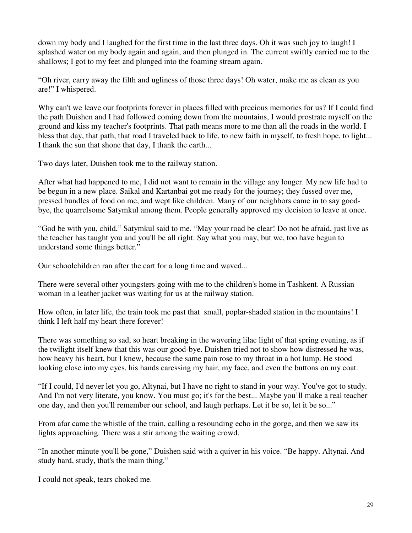down my body and I laughed for the first time in the last three days. Oh it was such joy to laugh! I splashed water on my body again and again, and then plunged in. The current swiftly carried me to the shallows; I got to my feet and plunged into the foaming stream again.

"Oh river, carry away the filth and ugliness of those three days! Oh water, make me as clean as you are!" I whispered.

Why can't we leave our footprints forever in places filled with precious memories for us? If I could find the path Duishen and I had followed coming down from the mountains, I would prostrate myself on the ground and kiss my teacher's footprints. That path means more to me than all the roads in the world. I bless that day, that path, that road I traveled back to life, to new faith in myself, to fresh hope, to light... I thank the sun that shone that day, I thank the earth...

Two days later, Duishen took me to the railway station.

After what had happened to me, I did not want to remain in the village any longer. My new life had to be begun in a new place. Saikal and Kartanbai got me ready for the journey; they fussed over me, pressed bundles of food on me, and wept like children. Many of our neighbors came in to say goodbye, the quarrelsome Satymkul among them. People generally approved my decision to leave at once.

"God be with you, child," Satymkul said to me. "May your road be clear! Do not be afraid, just live as the teacher has taught you and you'll be all right. Say what you may, but we, too have begun to understand some things better."

Our schoolchildren ran after the cart for a long time and waved...

There were several other youngsters going with me to the children's home in Tashkent. A Russian woman in a leather jacket was waiting for us at the railway station.

How often, in later life, the train took me past that small, poplar-shaded station in the mountains! I think I left half my heart there forever!

There was something so sad, so heart breaking in the wavering lilac light of that spring evening, as if the twilight itself knew that this was our good-bye. Duishen tried not to show how distressed he was, how heavy his heart, but I knew, because the same pain rose to my throat in a hot lump. He stood looking close into my eyes, his hands caressing my hair, my face, and even the buttons on my coat.

"If I could, I'd never let you go, Altynai, but I have no right to stand in your way. You've got to study. And I'm not very literate, you know. You must go; it's for the best... Maybe you'll make a real teacher one day, and then you'll remember our school, and laugh perhaps. Let it be so, let it be so..."

From afar came the whistle of the train, calling a resounding echo in the gorge, and then we saw its lights approaching. There was a stir among the waiting crowd.

"In another minute you'll be gone," Duishen said with a quiver in his voice. "Be happy. Altynai. And study hard, study, that's the main thing."

I could not speak, tears choked me.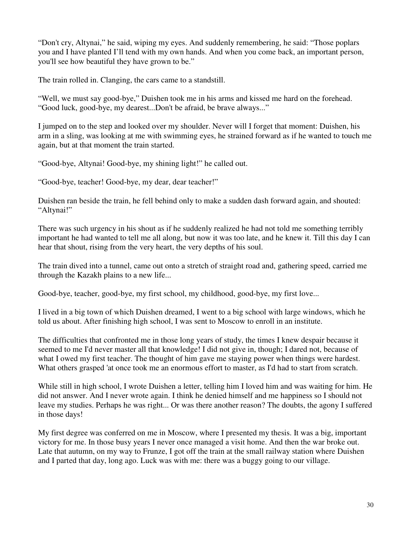"Don't cry, Altynai," he said, wiping my eyes. And suddenly remembering, he said: "Those poplars you and I have planted I'll tend with my own hands. And when you come back, an important person, you'll see how beautiful they have grown to be."

The train rolled in. Clanging, the cars came to a standstill.

"Well, we must say good-bye," Duishen took me in his arms and kissed me hard on the forehead. "Good luck, good-bye, my dearest...Don't be afraid, be brave always..."

I jumped on to the step and looked over my shoulder. Never will I forget that moment: Duishen, his arm in a sling, was looking at me with swimming eyes, he strained forward as if he wanted to touch me again, but at that moment the train started.

"Good-bye, Altynai! Good-bye, my shining light!" he called out.

"Good-bye, teacher! Good-bye, my dear, dear teacher!"

Duishen ran beside the train, he fell behind only to make a sudden dash forward again, and shouted: "Altynai!"

There was such urgency in his shout as if he suddenly realized he had not told me something terribly important he had wanted to tell me all along, but now it was too late, and he knew it. Till this day I can hear that shout, rising from the very heart, the very depths of his soul.

The train dived into a tunnel, came out onto a stretch of straight road and, gathering speed, carried me through the Kazakh plains to a new life...

Good-bye, teacher, good-bye, my first school, my childhood, good-bye, my first love...

I lived in a big town of which Duishen dreamed, I went to a big school with large windows, which he told us about. After finishing high school, I was sent to Moscow to enroll in an institute.

The difficulties that confronted me in those long years of study, the times I knew despair because it seemed to me I'd never master all that knowledge! I did not give in, though; I dared not, because of what I owed my first teacher. The thought of him gave me staying power when things were hardest. What others grasped 'at once took me an enormous effort to master, as I'd had to start from scratch.

While still in high school, I wrote Duishen a letter, telling him I loved him and was waiting for him. He did not answer. And I never wrote again. I think he denied himself and me happiness so I should not leave my studies. Perhaps he was right... Or was there another reason? The doubts, the agony I suffered in those days!

My first degree was conferred on me in Moscow, where I presented my thesis. It was a big, important victory for me. In those busy years I never once managed a visit home. And then the war broke out. Late that autumn, on my way to Frunze, I got off the train at the small railway station where Duishen and I parted that day, long ago. Luck was with me: there was a buggy going to our village.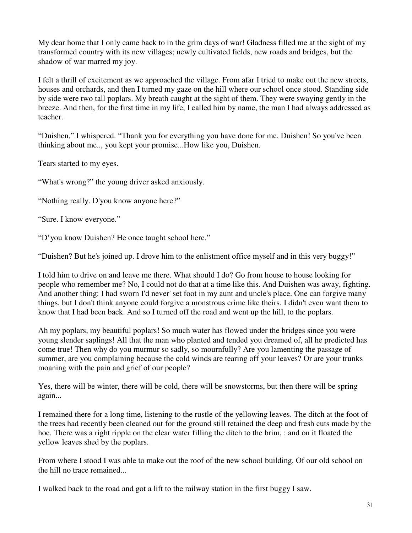My dear home that I only came back to in the grim days of war! Gladness filled me at the sight of my transformed country with its new villages; newly cultivated fields, new roads and bridges, but the shadow of war marred my joy.

I felt a thrill of excitement as we approached the village. From afar I tried to make out the new streets, houses and orchards, and then I turned my gaze on the hill where our school once stood. Standing side by side were two tall poplars. My breath caught at the sight of them. They were swaying gently in the breeze. And then, for the first time in my life, I called him by name, the man I had always addressed as teacher.

"Duishen," I whispered. "Thank you for everything you have done for me, Duishen! So you've been thinking about me.., you kept your promise...How like you, Duishen.

Tears started to my eyes.

"What's wrong?" the young driver asked anxiously.

"Nothing really. D'you know anyone here?"

"Sure. I know everyone."

"D'you know Duishen? He once taught school here."

"Duishen? But he's joined up. I drove him to the enlistment office myself and in this very buggy!"

I told him to drive on and leave me there. What should I do? Go from house to house looking for people who remember me? No, I could not do that at a time like this. And Duishen was away, fighting. And another thing: I had sworn I'd never' set foot in my aunt and uncle's place. One can forgive many things, but I don't think anyone could forgive a monstrous crime like theirs. I didn't even want them to know that I had been back. And so I turned off the road and went up the hill, to the poplars.

Ah my poplars, my beautiful poplars! So much water has flowed under the bridges since you were young slender saplings! All that the man who planted and tended you dreamed of, all he predicted has come true! Then why do you murmur so sadly, so mournfully? Are you lamenting the passage of summer, are you complaining because the cold winds are tearing off your leaves? Or are your trunks moaning with the pain and grief of our people?

Yes, there will be winter, there will be cold, there will be snowstorms, but then there will be spring again...

I remained there for a long time, listening to the rustle of the yellowing leaves. The ditch at the foot of the trees had recently been cleaned out for the ground still retained the deep and fresh cuts made by the hoe. There was a right ripple on the clear water filling the ditch to the brim, : and on it floated the yellow leaves shed by the poplars.

From where I stood I was able to make out the roof of the new school building. Of our old school on the hill no trace remained...

I walked back to the road and got a lift to the railway station in the first buggy I saw.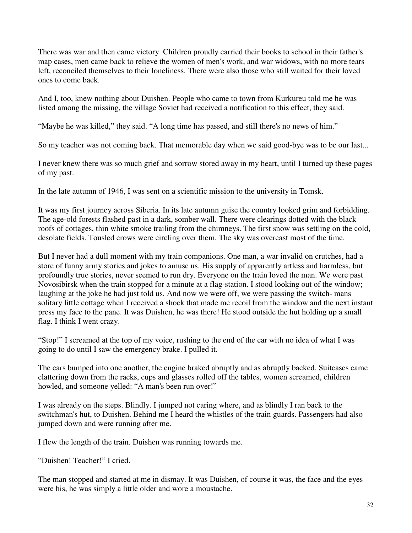There was war and then came victory. Children proudly carried their books to school in their father's map cases, men came back to relieve the women of men's work, and war widows, with no more tears left, reconciled themselves to their loneliness. There were also those who still waited for their loved ones to come back.

And I, too, knew nothing about Duishen. People who came to town from Kurkureu told me he was listed among the missing, the village Soviet had received a notification to this effect, they said.

"Maybe he was killed," they said. "A long time has passed, and still there's no news of him."

So my teacher was not coming back. That memorable day when we said good-bye was to be our last...

I never knew there was so much grief and sorrow stored away in my heart, until I turned up these pages of my past.

In the late autumn of 1946, I was sent on a scientific mission to the university in Tomsk.

It was my first journey across Siberia. In its late autumn guise the country looked grim and forbidding. The age-old forests flashed past in a dark, somber wall. There were clearings dotted with the black roofs of cottages, thin white smoke trailing from the chimneys. The first snow was settling on the cold, desolate fields. Tousled crows were circling over them. The sky was overcast most of the time.

But I never had a dull moment with my train companions. One man, a war invalid on crutches, had a store of funny army stories and jokes to amuse us. His supply of apparently artless and harmless, but profoundly true stories, never seemed to run dry. Everyone on the train loved the man. We were past Novosibirsk when the train stopped for a minute at a flag-station. I stood looking out of the window; laughing at the joke he had just told us. And now we were off, we were passing the switch- mans solitary little cottage when I received a shock that made me recoil from the window and the next instant press my face to the pane. It was Duishen, he was there! He stood outside the hut holding up a small flag. I think I went crazy.

"Stop!" I screamed at the top of my voice, rushing to the end of the car with no idea of what I was going to do until I saw the emergency brake. I pulled it.

The cars bumped into one another, the engine braked abruptly and as abruptly backed. Suitcases came clattering down from the racks, cups and glasses rolled off the tables, women screamed, children howled, and someone yelled: "A man's been run over!"

I was already on the steps. Blindly. I jumped not caring where, and as blindly I ran back to the switchman's hut, to Duishen. Behind me I heard the whistles of the train guards. Passengers had also jumped down and were running after me.

I flew the length of the train. Duishen was running towards me.

"Duishen! Teacher!" I cried.

The man stopped and started at me in dismay. It was Duishen, of course it was, the face and the eyes were his, he was simply a little older and wore a moustache.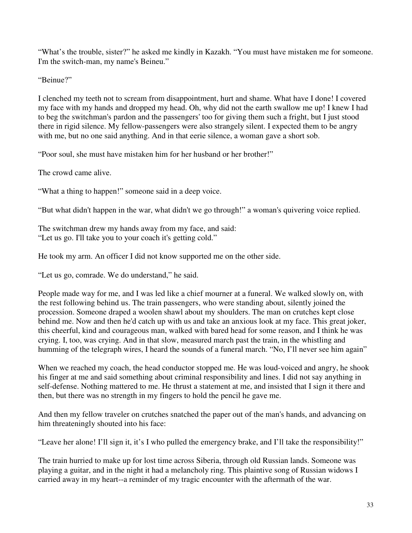"What's the trouble, sister?" he asked me kindly in Kazakh. "You must have mistaken me for someone. I'm the switch-man, my name's Beineu."

"Beinue?"

I clenched my teeth not to scream from disappointment, hurt and shame. What have I done! I covered my face with my hands and dropped my head. Oh, why did not the earth swallow me up! I knew I had to beg the switchman's pardon and the passengers' too for giving them such a fright, but I just stood there in rigid silence. My fellow-passengers were also strangely silent. I expected them to be angry with me, but no one said anything. And in that eerie silence, a woman gave a short sob.

"Poor soul, she must have mistaken him for her husband or her brother!"

The crowd came alive.

"What a thing to happen!" someone said in a deep voice.

"But what didn't happen in the war, what didn't we go through!" a woman's quivering voice replied.

The switchman drew my hands away from my face, and said: "Let us go. I'll take you to your coach it's getting cold."

He took my arm. An officer I did not know supported me on the other side.

"Let us go, comrade. We do understand," he said.

People made way for me, and I was led like a chief mourner at a funeral. We walked slowly on, with the rest following behind us. The train passengers, who were standing about, silently joined the procession. Someone draped a woolen shawl about my shoulders. The man on crutches kept close behind me. Now and then he'd catch up with us and take an anxious look at my face. This great joker, this cheerful, kind and courageous man, walked with bared head for some reason, and I think he was crying. I, too, was crying. And in that slow, measured march past the train, in the whistling and humming of the telegraph wires, I heard the sounds of a funeral march. "No, I'll never see him again"

When we reached my coach, the head conductor stopped me. He was loud-voiced and angry, he shook his finger at me and said something about criminal responsibility and lines. I did not say anything in self-defense. Nothing mattered to me. He thrust a statement at me, and insisted that I sign it there and then, but there was no strength in my fingers to hold the pencil he gave me.

And then my fellow traveler on crutches snatched the paper out of the man's hands, and advancing on him threateningly shouted into his face:

"Leave her alone! I'll sign it, it's I who pulled the emergency brake, and I'll take the responsibility!"

The train hurried to make up for lost time across Siberia, through old Russian lands. Someone was playing a guitar, and in the night it had a melancholy ring. This plaintive song of Russian widows I carried away in my heart--a reminder of my tragic encounter with the aftermath of the war.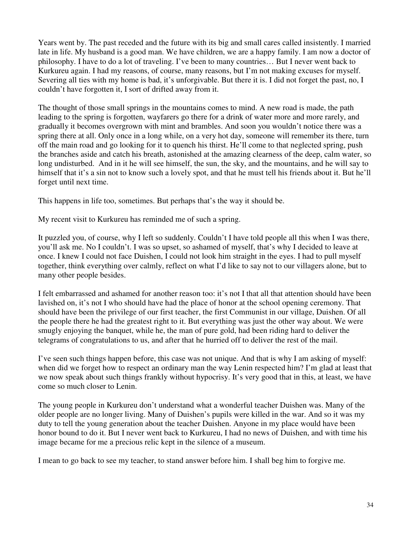Years went by. The past receded and the future with its big and small cares called insistently. I married late in life. My husband is a good man. We have children, we are a happy family. I am now a doctor of philosophy. I have to do a lot of traveling. I've been to many countries… But I never went back to Kurkureu again. I had my reasons, of course, many reasons, but I'm not making excuses for myself. Severing all ties with my home is bad, it's unforgivable. But there it is. I did not forget the past, no, I couldn't have forgotten it, I sort of drifted away from it.

The thought of those small springs in the mountains comes to mind. A new road is made, the path leading to the spring is forgotten, wayfarers go there for a drink of water more and more rarely, and gradually it becomes overgrown with mint and brambles. And soon you wouldn't notice there was a spring there at all. Only once in a long while, on a very hot day, someone will remember its there, turn off the main road and go looking for it to quench his thirst. He'll come to that neglected spring, push the branches aside and catch his breath, astonished at the amazing clearness of the deep, calm water, so long undisturbed. And in it he will see himself, the sun, the sky, and the mountains, and he will say to himself that it's a sin not to know such a lovely spot, and that he must tell his friends about it. But he'll forget until next time.

This happens in life too, sometimes. But perhaps that's the way it should be.

My recent visit to Kurkureu has reminded me of such a spring.

It puzzled you, of course, why I left so suddenly. Couldn't I have told people all this when I was there, you'll ask me. No I couldn't. I was so upset, so ashamed of myself, that's why I decided to leave at once. I knew I could not face Duishen, I could not look him straight in the eyes. I had to pull myself together, think everything over calmly, reflect on what I'd like to say not to our villagers alone, but to many other people besides.

I felt embarrassed and ashamed for another reason too: it's not I that all that attention should have been lavished on, it's not I who should have had the place of honor at the school opening ceremony. That should have been the privilege of our first teacher, the first Communist in our village, Duishen. Of all the people there he had the greatest right to it. But everything was just the other way about. We were smugly enjoying the banquet, while he, the man of pure gold, had been riding hard to deliver the telegrams of congratulations to us, and after that he hurried off to deliver the rest of the mail.

I've seen such things happen before, this case was not unique. And that is why I am asking of myself: when did we forget how to respect an ordinary man the way Lenin respected him? I'm glad at least that we now speak about such things frankly without hypocrisy. It's very good that in this, at least, we have come so much closer to Lenin.

The young people in Kurkureu don't understand what a wonderful teacher Duishen was. Many of the older people are no longer living. Many of Duishen's pupils were killed in the war. And so it was my duty to tell the young generation about the teacher Duishen. Anyone in my place would have been honor bound to do it. But I never went back to Kurkureu, I had no news of Duishen, and with time his image became for me a precious relic kept in the silence of a museum.

I mean to go back to see my teacher, to stand answer before him. I shall beg him to forgive me.